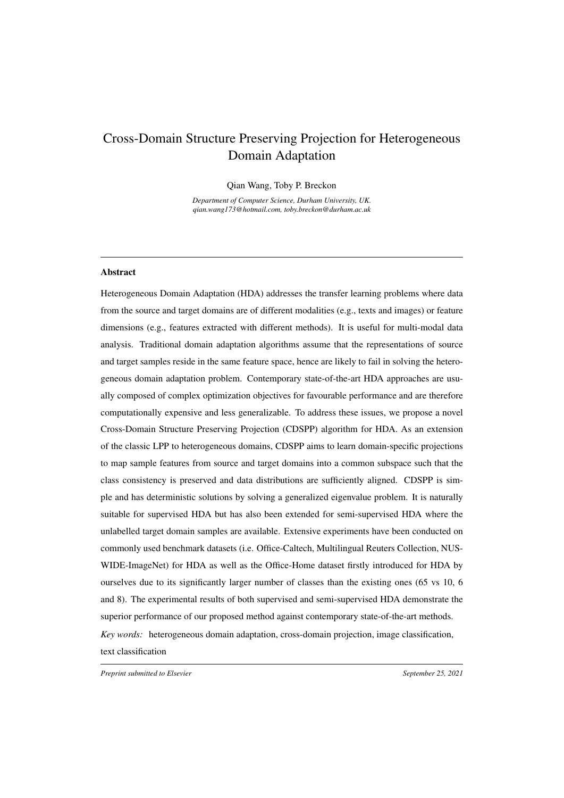# Cross-Domain Structure Preserving Projection for Heterogeneous Domain Adaptation

Qian Wang, Toby P. Breckon

*Department of Computer Science, Durham University, UK. qian.wang173@hotmail.com, toby.breckon@durham.ac.uk*

# Abstract

Heterogeneous Domain Adaptation (HDA) addresses the transfer learning problems where data from the source and target domains are of different modalities (e.g., texts and images) or feature dimensions (e.g., features extracted with different methods). It is useful for multi-modal data analysis. Traditional domain adaptation algorithms assume that the representations of source and target samples reside in the same feature space, hence are likely to fail in solving the heterogeneous domain adaptation problem. Contemporary state-of-the-art HDA approaches are usually composed of complex optimization objectives for favourable performance and are therefore computationally expensive and less generalizable. To address these issues, we propose a novel Cross-Domain Structure Preserving Projection (CDSPP) algorithm for HDA. As an extension of the classic LPP to heterogeneous domains, CDSPP aims to learn domain-specific projections to map sample features from source and target domains into a common subspace such that the class consistency is preserved and data distributions are sufficiently aligned. CDSPP is simple and has deterministic solutions by solving a generalized eigenvalue problem. It is naturally suitable for supervised HDA but has also been extended for semi-supervised HDA where the unlabelled target domain samples are available. Extensive experiments have been conducted on commonly used benchmark datasets (i.e. Office-Caltech, Multilingual Reuters Collection, NUS-WIDE-ImageNet) for HDA as well as the Office-Home dataset firstly introduced for HDA by ourselves due to its significantly larger number of classes than the existing ones (65 vs 10, 6 and 8). The experimental results of both supervised and semi-supervised HDA demonstrate the superior performance of our proposed method against contemporary state-of-the-art methods. *Key words:* heterogeneous domain adaptation, cross-domain projection, image classification, text classification

*Preprint submitted to Elsevier* September 25, 2021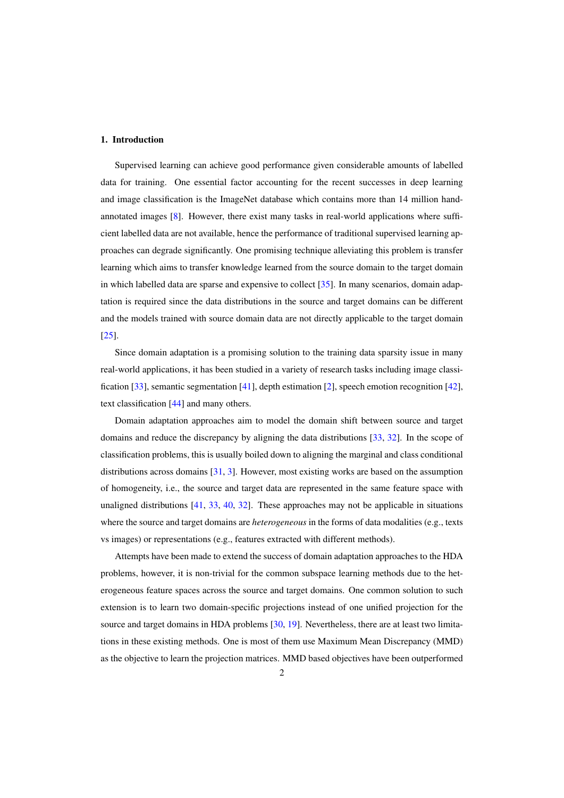# 1. Introduction

Supervised learning can achieve good performance given considerable amounts of labelled data for training. One essential factor accounting for the recent successes in deep learning and image classification is the ImageNet database which contains more than 14 million handannotated images [\[8\]](#page-26-0). However, there exist many tasks in real-world applications where sufficient labelled data are not available, hence the performance of traditional supervised learning approaches can degrade significantly. One promising technique alleviating this problem is transfer learning which aims to transfer knowledge learned from the source domain to the target domain in which labelled data are sparse and expensive to collect [\[35\]](#page-28-0). In many scenarios, domain adaptation is required since the data distributions in the source and target domains can be different and the models trained with source domain data are not directly applicable to the target domain [\[25\]](#page-27-0).

Since domain adaptation is a promising solution to the training data sparsity issue in many real-world applications, it has been studied in a variety of research tasks including image classification [\[33\]](#page-28-1), semantic segmentation [\[41\]](#page-28-2), depth estimation [\[2\]](#page-26-1), speech emotion recognition [\[42\]](#page-28-3), text classification [\[44\]](#page-28-4) and many others.

Domain adaptation approaches aim to model the domain shift between source and target domains and reduce the discrepancy by aligning the data distributions [\[33,](#page-28-1) [32\]](#page-28-5). In the scope of classification problems, this is usually boiled down to aligning the marginal and class conditional distributions across domains [\[31,](#page-27-1) [3\]](#page-26-2). However, most existing works are based on the assumption of homogeneity, i.e., the source and target data are represented in the same feature space with unaligned distributions [\[41,](#page-28-2) [33,](#page-28-1) [40,](#page-28-6) [32\]](#page-28-5). These approaches may not be applicable in situations where the source and target domains are *heterogeneous* in the forms of data modalities (e.g., texts vs images) or representations (e.g., features extracted with different methods).

Attempts have been made to extend the success of domain adaptation approaches to the HDA problems, however, it is non-trivial for the common subspace learning methods due to the heterogeneous feature spaces across the source and target domains. One common solution to such extension is to learn two domain-specific projections instead of one unified projection for the source and target domains in HDA problems [\[30,](#page-27-2) [19\]](#page-27-3). Nevertheless, there are at least two limitations in these existing methods. One is most of them use Maximum Mean Discrepancy (MMD) as the objective to learn the projection matrices. MMD based objectives have been outperformed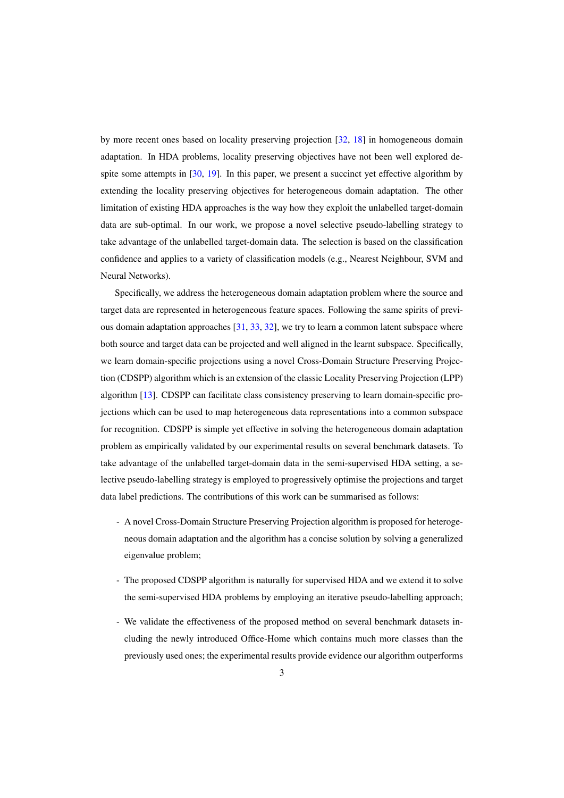by more recent ones based on locality preserving projection [\[32,](#page-28-5) [18\]](#page-27-4) in homogeneous domain adaptation. In HDA problems, locality preserving objectives have not been well explored de-spite some attempts in [\[30,](#page-27-2) [19\]](#page-27-3). In this paper, we present a succinct yet effective algorithm by extending the locality preserving objectives for heterogeneous domain adaptation. The other limitation of existing HDA approaches is the way how they exploit the unlabelled target-domain data are sub-optimal. In our work, we propose a novel selective pseudo-labelling strategy to take advantage of the unlabelled target-domain data. The selection is based on the classification confidence and applies to a variety of classification models (e.g., Nearest Neighbour, SVM and Neural Networks).

Specifically, we address the heterogeneous domain adaptation problem where the source and target data are represented in heterogeneous feature spaces. Following the same spirits of previous domain adaptation approaches  $[31, 33, 32]$  $[31, 33, 32]$  $[31, 33, 32]$  $[31, 33, 32]$  $[31, 33, 32]$ , we try to learn a common latent subspace where both source and target data can be projected and well aligned in the learnt subspace. Specifically, we learn domain-specific projections using a novel Cross-Domain Structure Preserving Projection (CDSPP) algorithm which is an extension of the classic Locality Preserving Projection (LPP) algorithm [\[13\]](#page-27-5). CDSPP can facilitate class consistency preserving to learn domain-specific projections which can be used to map heterogeneous data representations into a common subspace for recognition. CDSPP is simple yet effective in solving the heterogeneous domain adaptation problem as empirically validated by our experimental results on several benchmark datasets. To take advantage of the unlabelled target-domain data in the semi-supervised HDA setting, a selective pseudo-labelling strategy is employed to progressively optimise the projections and target data label predictions. The contributions of this work can be summarised as follows:

- A novel Cross-Domain Structure Preserving Projection algorithm is proposed for heterogeneous domain adaptation and the algorithm has a concise solution by solving a generalized eigenvalue problem;
- The proposed CDSPP algorithm is naturally for supervised HDA and we extend it to solve the semi-supervised HDA problems by employing an iterative pseudo-labelling approach;
- We validate the effectiveness of the proposed method on several benchmark datasets including the newly introduced Office-Home which contains much more classes than the previously used ones; the experimental results provide evidence our algorithm outperforms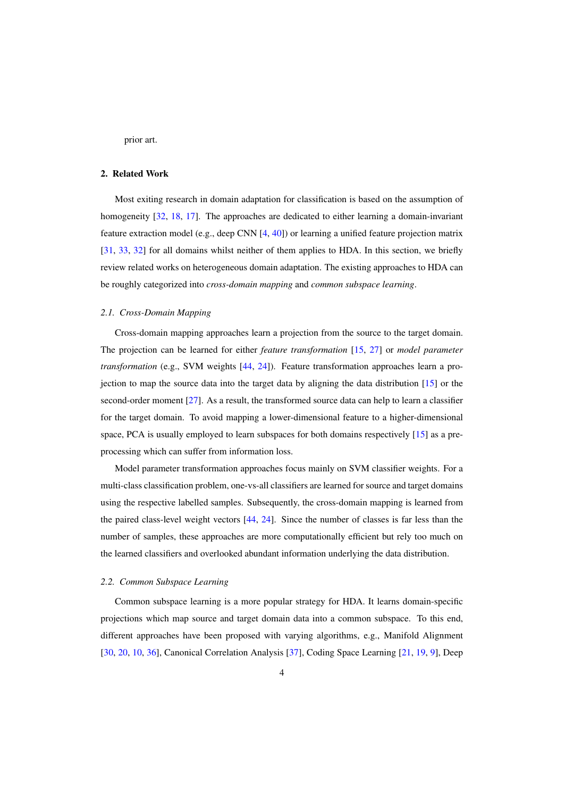prior art.

# 2. Related Work

Most exiting research in domain adaptation for classification is based on the assumption of homogeneity [\[32,](#page-28-5) [18,](#page-27-4) [17\]](#page-27-6). The approaches are dedicated to either learning a domain-invariant feature extraction model (e.g., deep CNN [\[4,](#page-26-3) [40\]](#page-28-6)) or learning a unified feature projection matrix [\[31,](#page-27-1) [33,](#page-28-1) [32\]](#page-28-5) for all domains whilst neither of them applies to HDA. In this section, we briefly review related works on heterogeneous domain adaptation. The existing approaches to HDA can be roughly categorized into *cross-domain mapping* and *common subspace learning*.

#### *2.1. Cross-Domain Mapping*

Cross-domain mapping approaches learn a projection from the source to the target domain. The projection can be learned for either *feature transformation* [\[15,](#page-27-7) [27\]](#page-27-8) or *model parameter transformation* (e.g., SVM weights [\[44,](#page-28-4) [24\]](#page-27-9)). Feature transformation approaches learn a projection to map the source data into the target data by aligning the data distribution [\[15\]](#page-27-7) or the second-order moment [\[27\]](#page-27-8). As a result, the transformed source data can help to learn a classifier for the target domain. To avoid mapping a lower-dimensional feature to a higher-dimensional space, PCA is usually employed to learn subspaces for both domains respectively [\[15\]](#page-27-7) as a preprocessing which can suffer from information loss.

Model parameter transformation approaches focus mainly on SVM classifier weights. For a multi-class classification problem, one-vs-all classifiers are learned for source and target domains using the respective labelled samples. Subsequently, the cross-domain mapping is learned from the paired class-level weight vectors [\[44,](#page-28-4) [24\]](#page-27-9). Since the number of classes is far less than the number of samples, these approaches are more computationally efficient but rely too much on the learned classifiers and overlooked abundant information underlying the data distribution.

#### *2.2. Common Subspace Learning*

Common subspace learning is a more popular strategy for HDA. It learns domain-specific projections which map source and target domain data into a common subspace. To this end, different approaches have been proposed with varying algorithms, e.g., Manifold Alignment [\[30,](#page-27-2) [20,](#page-27-10) [10,](#page-26-4) [36\]](#page-28-7), Canonical Correlation Analysis [\[37\]](#page-28-8), Coding Space Learning [\[21,](#page-27-11) [19,](#page-27-3) [9\]](#page-26-5), Deep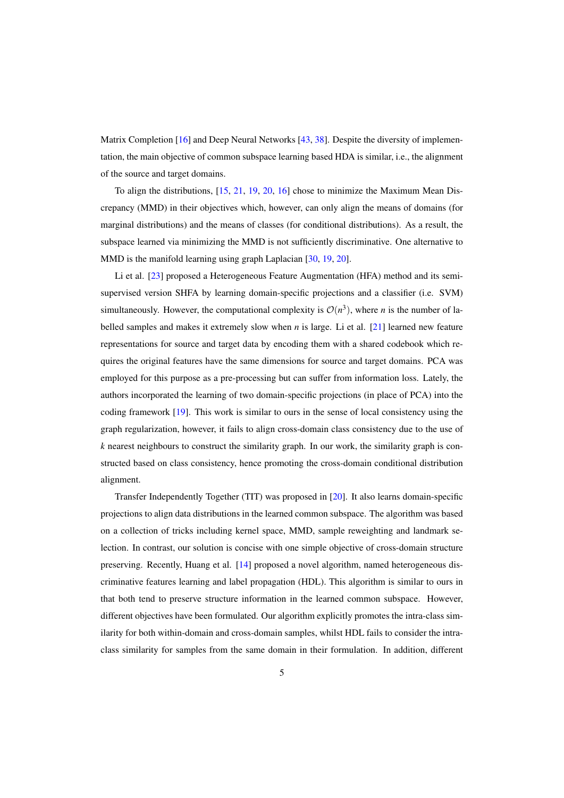Matrix Completion [\[16\]](#page-27-12) and Deep Neural Networks [\[43,](#page-28-9) [38\]](#page-28-10). Despite the diversity of implementation, the main objective of common subspace learning based HDA is similar, i.e., the alignment of the source and target domains.

To align the distributions, [\[15,](#page-27-7) [21,](#page-27-11) [19,](#page-27-3) [20,](#page-27-10) [16\]](#page-27-12) chose to minimize the Maximum Mean Discrepancy (MMD) in their objectives which, however, can only align the means of domains (for marginal distributions) and the means of classes (for conditional distributions). As a result, the subspace learned via minimizing the MMD is not sufficiently discriminative. One alternative to MMD is the manifold learning using graph Laplacian [\[30,](#page-27-2) [19,](#page-27-3) [20\]](#page-27-10).

Li et al. [\[23\]](#page-27-13) proposed a Heterogeneous Feature Augmentation (HFA) method and its semisupervised version SHFA by learning domain-specific projections and a classifier (i.e. SVM) simultaneously. However, the computational complexity is  $\mathcal{O}(n^3)$ , where *n* is the number of labelled samples and makes it extremely slow when *n* is large. Li et al. [\[21\]](#page-27-11) learned new feature representations for source and target data by encoding them with a shared codebook which requires the original features have the same dimensions for source and target domains. PCA was employed for this purpose as a pre-processing but can suffer from information loss. Lately, the authors incorporated the learning of two domain-specific projections (in place of PCA) into the coding framework [\[19\]](#page-27-3). This work is similar to ours in the sense of local consistency using the graph regularization, however, it fails to align cross-domain class consistency due to the use of *k* nearest neighbours to construct the similarity graph. In our work, the similarity graph is constructed based on class consistency, hence promoting the cross-domain conditional distribution alignment.

Transfer Independently Together (TIT) was proposed in [\[20\]](#page-27-10). It also learns domain-specific projections to align data distributions in the learned common subspace. The algorithm was based on a collection of tricks including kernel space, MMD, sample reweighting and landmark selection. In contrast, our solution is concise with one simple objective of cross-domain structure preserving. Recently, Huang et al. [\[14\]](#page-27-14) proposed a novel algorithm, named heterogeneous discriminative features learning and label propagation (HDL). This algorithm is similar to ours in that both tend to preserve structure information in the learned common subspace. However, different objectives have been formulated. Our algorithm explicitly promotes the intra-class similarity for both within-domain and cross-domain samples, whilst HDL fails to consider the intraclass similarity for samples from the same domain in their formulation. In addition, different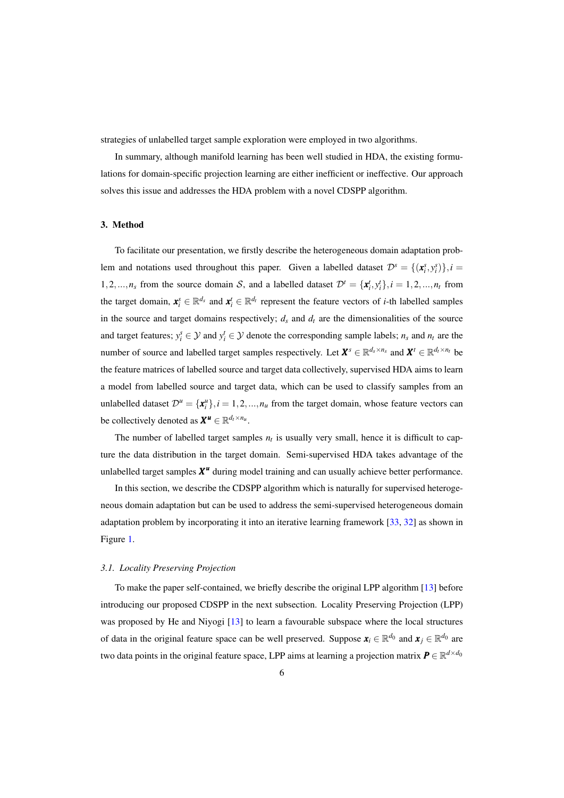strategies of unlabelled target sample exploration were employed in two algorithms.

In summary, although manifold learning has been well studied in HDA, the existing formulations for domain-specific projection learning are either inefficient or ineffective. Our approach solves this issue and addresses the HDA problem with a novel CDSPP algorithm.

# 3. Method

To facilitate our presentation, we firstly describe the heterogeneous domain adaptation problem and notations used throughout this paper. Given a labelled dataset  $\mathcal{D}^s = \{(\mathbf{x}_i^s, y_i^s)\}, i =$ 1,2,..., $n_s$  from the source domain S, and a labelled dataset  $\mathcal{D}^t = {\mathbf{x}_i^t, y_i^t}, i = 1, 2, ..., n_t$  from the target domain,  $\mathbf{x}_i^s \in \mathbb{R}^{d_s}$  and  $\mathbf{x}_i^t \in \mathbb{R}^{d_t}$  represent the feature vectors of *i*-th labelled samples in the source and target domains respectively;  $d_s$  and  $d_t$  are the dimensionalities of the source and target features;  $y_i^s \in \mathcal{Y}$  and  $y_i^t \in \mathcal{Y}$  denote the corresponding sample labels;  $n_s$  and  $n_t$  are the number of source and labelled target samples respectively. Let  $X^s \in \mathbb{R}^{d_s \times n_s}$  and  $X^t \in \mathbb{R}^{d_t \times n_t}$  be the feature matrices of labelled source and target data collectively, supervised HDA aims to learn a model from labelled source and target data, which can be used to classify samples from an unlabelled dataset  $\mathcal{D}^u = {\mathbf{x}_i^u}$ ,  $i = 1, 2, ..., n_u$  from the target domain, whose feature vectors can be collectively denoted as  $X^u \in \mathbb{R}^{d_t \times n_u}$ .

The number of labelled target samples  $n_t$  is usually very small, hence it is difficult to capture the data distribution in the target domain. Semi-supervised HDA takes advantage of the unlabelled target samples  $X^u$  during model training and can usually achieve better performance.

In this section, we describe the CDSPP algorithm which is naturally for supervised heterogeneous domain adaptation but can be used to address the semi-supervised heterogeneous domain adaptation problem by incorporating it into an iterative learning framework [\[33,](#page-28-1) [32\]](#page-28-5) as shown in Figure [1.](#page-6-0)

### *3.1. Locality Preserving Projection*

To make the paper self-contained, we briefly describe the original LPP algorithm [\[13\]](#page-27-5) before introducing our proposed CDSPP in the next subsection. Locality Preserving Projection (LPP) was proposed by He and Niyogi [\[13\]](#page-27-5) to learn a favourable subspace where the local structures of data in the original feature space can be well preserved. Suppose  $x_i \in \mathbb{R}^{d_0}$  and  $x_j \in \mathbb{R}^{d_0}$  are two data points in the original feature space, LPP aims at learning a projection matrix  $\bm{P} \in \mathbb{R}^{d \times d_0}$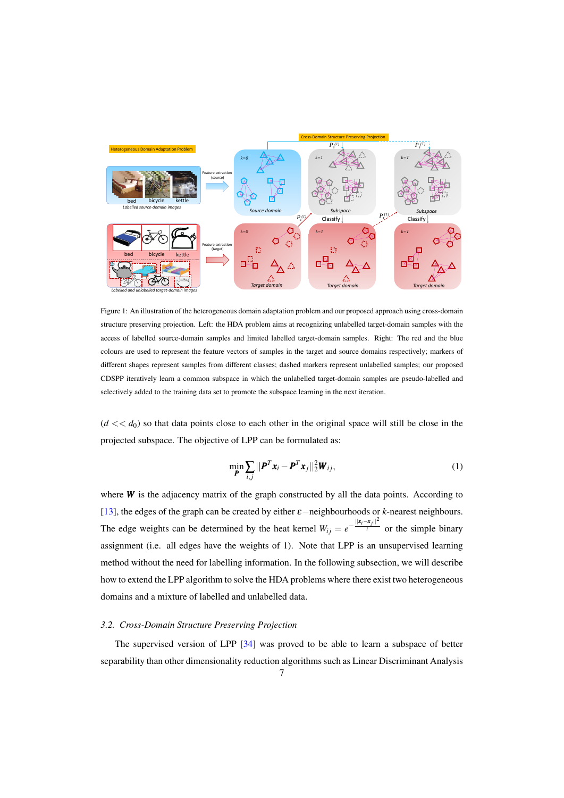<span id="page-6-0"></span>

Figure 1: An illustration of the heterogeneous domain adaptation problem and our proposed approach using cross-domain structure preserving projection. Left: the HDA problem aims at recognizing unlabelled target-domain samples with the access of labelled source-domain samples and limited labelled target-domain samples. Right: The red and the blue colours are used to represent the feature vectors of samples in the target and source domains respectively; markers of different shapes represent samples from different classes; dashed markers represent unlabelled samples; our proposed CDSPP iteratively learn a common subspace in which the unlabelled target-domain samples are pseudo-labelled and selectively added to the training data set to promote the subspace learning in the next iteration.

 $(d \ll d_0)$  so that data points close to each other in the original space will still be close in the projected subspace. The objective of LPP can be formulated as:

$$
\min_{\boldsymbol{P}} \sum_{i,j} ||\boldsymbol{P}^T \boldsymbol{x}_i - \boldsymbol{P}^T \boldsymbol{x}_j||_2^2 \boldsymbol{W}_{ij},
$$
\n(1)

where  $W$  is the adjacency matrix of the graph constructed by all the data points. According to [\[13\]](#page-27-5), the edges of the graph can be created by either ε−neighbourhoods or *k*-nearest neighbours. The edge weights can be determined by the heat kernel  $W_{ij} = e^{-\frac{||\mathbf{x}_i - \mathbf{x}_j||^2}{l}}$  $\frac{1}{t}$  or the simple binary assignment (i.e. all edges have the weights of 1). Note that LPP is an unsupervised learning method without the need for labelling information. In the following subsection, we will describe how to extend the LPP algorithm to solve the HDA problems where there exist two heterogeneous domains and a mixture of labelled and unlabelled data.

### *3.2. Cross-Domain Structure Preserving Projection*

The supervised version of LPP [\[34\]](#page-28-11) was proved to be able to learn a subspace of better separability than other dimensionality reduction algorithms such as Linear Discriminant Analysis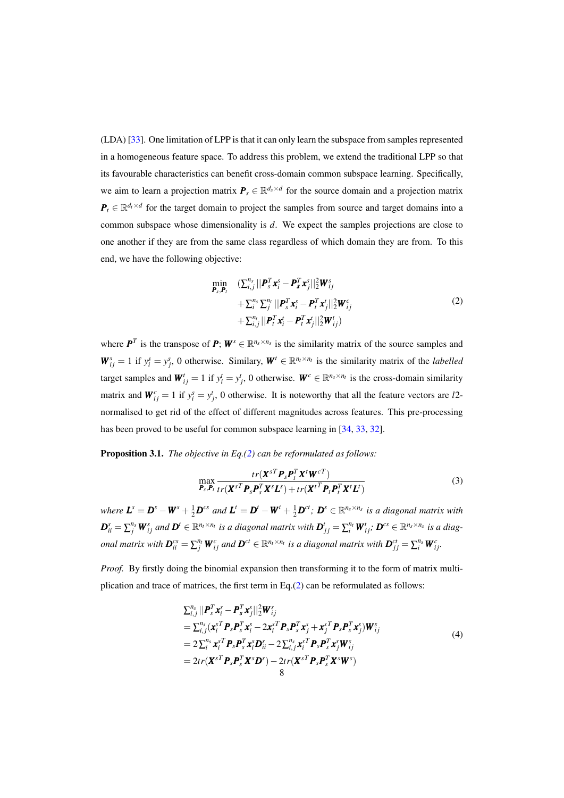(LDA) [\[33\]](#page-28-1). One limitation of LPP is that it can only learn the subspace from samples represented in a homogeneous feature space. To address this problem, we extend the traditional LPP so that its favourable characteristics can benefit cross-domain common subspace learning. Specifically, we aim to learn a projection matrix  $P_s \in \mathbb{R}^{d_s \times d}$  for the source domain and a projection matrix  $P_t \in \mathbb{R}^{d_t \times d}$  for the target domain to project the samples from source and target domains into a common subspace whose dimensionality is *d*. We expect the samples projections are close to one another if they are from the same class regardless of which domain they are from. To this end, we have the following objective:

<span id="page-7-0"></span>
$$
\begin{aligned}\n\min_{\boldsymbol{P}_s, \boldsymbol{P}_t} & (\sum_{i,j}^{n_s} || \boldsymbol{P}_s^T \boldsymbol{x}_i^s - \boldsymbol{P}_s^T \boldsymbol{x}_j^s ||_2^2 \boldsymbol{W}_{ij}^s \\
& + \sum_{i}^{n_s} \sum_{j}^{n_t} || \boldsymbol{P}_s^T \boldsymbol{x}_i^s - \boldsymbol{P}_t^T \boldsymbol{x}_j^t ||_2^2 \boldsymbol{W}_{ij}^c \\
& + \sum_{i,j}^{n_t} || \boldsymbol{P}_t^T \boldsymbol{x}_i^t - \boldsymbol{P}_t^T \boldsymbol{x}_j^t ||_2^2 \boldsymbol{W}_{ij}^t\n\end{aligned} \tag{2}
$$

where  $P^T$  is the transpose of  $P$ ;  $W^s \in \mathbb{R}^{n_s \times n_s}$  is the similarity matrix of the source samples and  $W_{ij}^s = 1$  if  $y_i^s = y_j^s$ , 0 otherwise. Similary,  $W^t \in \mathbb{R}^{n_t \times n_t}$  is the similarity matrix of the *labelled* target samples and  $W_{ij}^t = 1$  if  $y_i^t = y_j^t$ , 0 otherwise.  $W^c \in \mathbb{R}^{n_s \times n_t}$  is the cross-domain similarity matrix and  $W_{ij}^c = 1$  if  $y_i^s = y_j^t$ , 0 otherwise. It is noteworthy that all the feature vectors are *l*2normalised to get rid of the effect of different magnitudes across features. This pre-processing has been proved to be useful for common subspace learning in [\[34,](#page-28-11) [33,](#page-28-1) [32\]](#page-28-5).

Proposition 3.1. *The objective in Eq.[\(2\)](#page-7-0) can be reformulated as follows:*

<span id="page-7-2"></span>
$$
\max_{\boldsymbol{P}_s, \boldsymbol{P}_t} \frac{tr(\boldsymbol{X}^{sT} \boldsymbol{P}_s \boldsymbol{P}_t^T \boldsymbol{X}^t \boldsymbol{W}^{cT})}{tr(\boldsymbol{X}^{sT} \boldsymbol{P}_s \boldsymbol{P}_s^T \boldsymbol{X}^s \boldsymbol{L}^s) + tr(\boldsymbol{X}^{tT} \boldsymbol{P}_t \boldsymbol{P}_t^T \boldsymbol{X}^t \boldsymbol{L}^t)}
$$
(3)

where  $L^s = D^s - W^s + \frac{1}{2}D^{cs}$  and  $L^t = D^t - W^t + \frac{1}{2}D^{ct}$ ;  $D^s \in \mathbb{R}^{n_s \times n_s}$  is a diagonal matrix with  $\bm{D}_{ii}^s=\sum_j^{n_s}\bm{W}_{ij}^s$  and  $\bm{D}^t\in\mathbb{R}^{n_t\times n_t}$  is a diagonal matrix with  $\bm{D}_{jj}^t=\sum_i^{n_t}\bm{W}_{ij}^t;$   $\bm{D}^{cs}\in\mathbb{R}^{n_s\times n_s}$  is a diagonal matrix with  $\bm{D}^{cs}_{ii}=\sum_j^{n_t}\bm{W}^{c}_{ij}$  and  $\bm{D}^{ct}\in\mathbb{R}^{n_t\times n_t}$  is a diagonal matrix with  $\bm{D}^{ct}_{jj}=\sum_i^{n_s}\bm{W}^{c}_{ij}.$ 

*Proof.* By firstly doing the binomial expansion then transforming it to the form of matrix multiplication and trace of matrices, the first term in Eq.[\(2\)](#page-7-0) can be reformulated as follows:

<span id="page-7-1"></span>
$$
\sum_{i,j}^{n_s} ||\boldsymbol{P}_s^T \boldsymbol{x}_i^s - \boldsymbol{P}_s^T \boldsymbol{x}_j^s||_2^2 \boldsymbol{W}_{ij}^s
$$
\n
$$
= \sum_{i,j}^{n_s} (\boldsymbol{x}_i^{sT} \boldsymbol{P}_s \boldsymbol{P}_s^T \boldsymbol{x}_i^s - 2 \boldsymbol{x}_i^{sT} \boldsymbol{P}_s \boldsymbol{P}_s^T \boldsymbol{x}_j^s + \boldsymbol{x}_j^{sT} \boldsymbol{P}_s \boldsymbol{P}_s^T \boldsymbol{x}_j^s) \boldsymbol{W}_{ij}^s
$$
\n
$$
= 2 \sum_{i}^{n_s} \boldsymbol{x}_i^{sT} \boldsymbol{P}_s \boldsymbol{P}_s^T \boldsymbol{x}_i^s \boldsymbol{D}_{ii}^s - 2 \sum_{i,j}^{n_s} \boldsymbol{x}_i^{sT} \boldsymbol{P}_s \boldsymbol{P}_s^T \boldsymbol{x}_j^s \boldsymbol{W}_{ij}^s
$$
\n
$$
= 2tr(\boldsymbol{X}^{sT} \boldsymbol{P}_s \boldsymbol{P}_s^T \boldsymbol{X}^s \boldsymbol{D}^s) - 2tr(\boldsymbol{X}^{sT} \boldsymbol{P}_s \boldsymbol{P}_s^T \boldsymbol{X}^s \boldsymbol{W}^s)
$$
\n(4)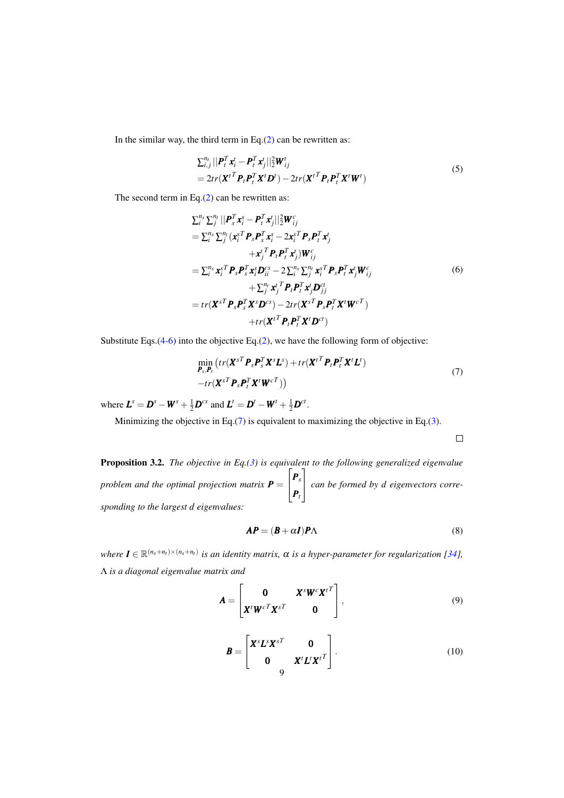In the similar way, the third term in Eq. $(2)$  can be rewritten as:

$$
\sum_{i,j}^{n_t} ||\boldsymbol{P}_t^T \boldsymbol{x}_i^t - \boldsymbol{P}_t^T \boldsymbol{x}_j^t||_2^2 \boldsymbol{W}_{ij}^t
$$
  
=  $2tr(\boldsymbol{X}^{tT} \boldsymbol{P}_t \boldsymbol{P}_t^T \boldsymbol{X}^t \boldsymbol{D}^t) - 2tr(\boldsymbol{X}^{tT} \boldsymbol{P}_t \boldsymbol{P}_t^T \boldsymbol{X}^t \boldsymbol{W}^t)$  (5)

The second term in Eq.[\(2\)](#page-7-0) can be rewritten as:

<span id="page-8-0"></span>
$$
\sum_{i}^{n_{s}} \sum_{j}^{n_{t}} || P_{s}^{T} \mathbf{x}_{i}^{s} - P_{t}^{T} \mathbf{x}_{j}^{t} ||_{2}^{2} \mathbf{W}_{ij}^{c}
$$
\n
$$
= \sum_{i}^{n_{s}} \sum_{j}^{n_{t}} (\mathbf{x}_{i}^{sT} P_{s} P_{s}^{T} \mathbf{x}_{i}^{s} - 2 \mathbf{x}_{i}^{sT} P_{s} P_{t}^{T} \mathbf{x}_{j}^{t})
$$
\n
$$
+ \mathbf{x}_{j}^{t} P_{t} P_{t}^{T} \mathbf{x}_{j}^{t} ) \mathbf{W}_{ij}^{c}
$$
\n
$$
= \sum_{i}^{n_{s}} \mathbf{x}_{i}^{sT} P_{s} P_{s}^{T} \mathbf{x}_{i}^{s} D_{ii}^{cs} - 2 \sum_{i}^{n_{s}} \sum_{j}^{n_{t}} \mathbf{x}_{i}^{sT} P_{s} P_{t}^{T} \mathbf{x}_{j}^{t} \mathbf{W}_{ij}^{c}
$$
\n
$$
+ \sum_{j}^{n_{t}} \mathbf{x}_{j}^{t} P_{t} P_{t}^{T} \mathbf{x}_{j}^{t} D_{jj}^{ct}
$$
\n
$$
= tr(\mathbf{X}^{sT} P_{s} P_{s}^{T} \mathbf{X}^{s} D^{cs}) - 2tr(\mathbf{X}^{sT} P_{s} P_{t}^{T} \mathbf{X}^{t} \mathbf{W}^{cT})
$$
\n
$$
+ tr(\mathbf{X}^{tT} P_{t} P_{t}^{T} \mathbf{X}^{t} D^{ct})
$$
\n(6)

Substitute Eqs.[\(4](#page-7-1)[-6\)](#page-8-0) into the objective Eq.[\(2\)](#page-7-0), we have the following form of objective:

<span id="page-8-1"></span>
$$
\min_{\boldsymbol{P}_s, \boldsymbol{P}_t} \left( tr(\boldsymbol{X}^{sT} \boldsymbol{P}_s \boldsymbol{P}_s^T \boldsymbol{X}^s \boldsymbol{L}^s) + tr(\boldsymbol{X}^{tT} \boldsymbol{P}_t \boldsymbol{P}_t^T \boldsymbol{X}^t \boldsymbol{L}^t) - tr(\boldsymbol{X}^{sT} \boldsymbol{P}_s \boldsymbol{P}_t^T \boldsymbol{X}^t \boldsymbol{W}^{cT}) \right)
$$
\n
$$
(7)
$$

where  $\boldsymbol{L}^s = \boldsymbol{D}^s - \boldsymbol{W}^s + \frac{1}{2}\boldsymbol{D}^{cs}$  and  $\boldsymbol{L}^t = \boldsymbol{D}^t - \boldsymbol{W}^t + \frac{1}{2}\boldsymbol{D}^{ct}$ .

Minimizing the objective in Eq.[\(7\)](#page-8-1) is equivalent to maximizing the objective in Eq.[\(3\)](#page-7-2).

<span id="page-8-4"></span><span id="page-8-3"></span> $\Box$ 

Proposition 3.2. *The objective in Eq.[\(3\)](#page-7-2) is equivalent to the following generalized eigenvalue problem and the optimal projection matrix P* =  $\sqrt{ }$  $\overline{\phantom{a}}$ *Ps Pt* 1 *can be formed by d eigenvectors corresponding to the largest d eigenvalues:*

<span id="page-8-2"></span>
$$
AP = (B + \alpha I)P\Lambda
$$
 (8)

 $\forall$ where  $I \in \mathbb{R}^{(n_s+n_t)\times(n_s+n_t)}$  is an identity matrix,  $\alpha$  is a hyper-parameter for regularization [\[34\]](#page-28-11), Λ *is a diagonal eigenvalue matrix and*

$$
\mathbf{A} = \begin{bmatrix} \mathbf{0} & \mathbf{X}^s \mathbf{W}^c {\mathbf{X}^t}^T \\ \mathbf{X}^t \mathbf{W}^c \mathbf{X}^s \mathbf{X}^r & \mathbf{0} \end{bmatrix},
$$
(9)

$$
\boldsymbol{B} = \begin{bmatrix} \boldsymbol{X}^s \boldsymbol{L}^s \boldsymbol{X}^{sT} & \mathbf{0} \\ \mathbf{0} & \boldsymbol{X}^t \boldsymbol{L}^t \boldsymbol{X}^{tT} \end{bmatrix} . \tag{10}
$$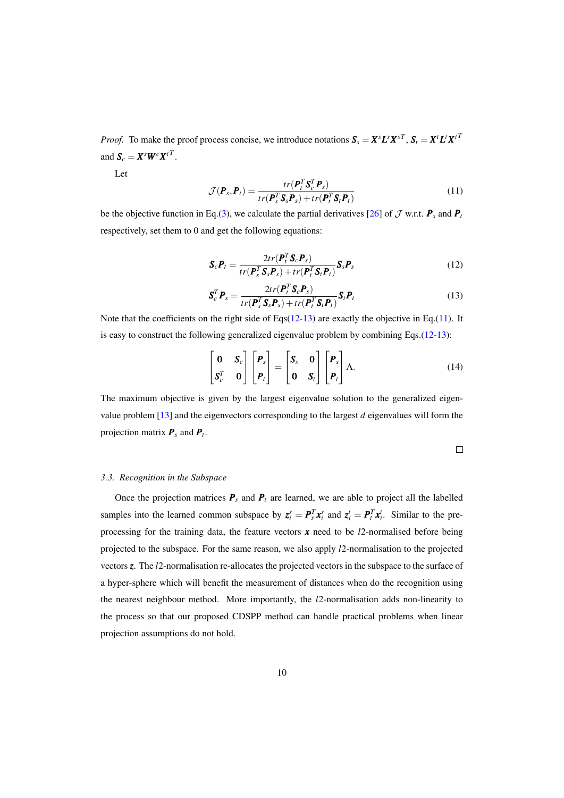*Proof.* To make the proof process concise, we introduce notations  $S_s = X^s L^s X^{sT}, S_t = X^t L^t X^{tT}$ and  $S_c = X^s W^c X^{tT}$ .

Let

<span id="page-9-2"></span>
$$
\mathcal{J}(\boldsymbol{P}_s, \boldsymbol{P}_t) = \frac{tr(\boldsymbol{P}_t^T \boldsymbol{S}_c^T \boldsymbol{P}_s)}{tr(\boldsymbol{P}_s^T \boldsymbol{S}_s \boldsymbol{P}_s) + tr(\boldsymbol{P}_t^T \boldsymbol{S}_t \boldsymbol{P}_t)}
$$
(11)

be the objective function in Eq.[\(3\)](#page-7-2), we calculate the partial derivatives [\[26\]](#page-27-15) of  $\mathcal J$  w.r.t.  $\mathbf P_s$  and  $\mathbf P_t$ respectively, set them to 0 and get the following equations:

<span id="page-9-0"></span>
$$
\mathbf{S}_c \mathbf{P}_t = \frac{2tr(\mathbf{P}_t^T \mathbf{S}_c \mathbf{P}_s)}{tr(\mathbf{P}_s^T \mathbf{S}_s \mathbf{P}_s) + tr(\mathbf{P}_t^T \mathbf{S}_t \mathbf{P}_t)} \mathbf{S}_s \mathbf{P}_s
$$
(12)

<span id="page-9-1"></span>
$$
\mathbf{S}_c^T \mathbf{P}_s = \frac{2tr(\mathbf{P}_t^T \mathbf{S}_c \mathbf{P}_s)}{tr(\mathbf{P}_s^T \mathbf{S}_s \mathbf{P}_s) + tr(\mathbf{P}_t^T \mathbf{S}_t \mathbf{P}_t)} \mathbf{S}_t \mathbf{P}_t
$$
(13)

Note that the coefficients on the right side of Eqs $(12-13)$  $(12-13)$  are exactly the objective in Eq.[\(11\)](#page-9-2). It is easy to construct the following generalized eigenvalue problem by combining Eqs. $(12-13)$  $(12-13)$ :

$$
\begin{bmatrix} \mathbf{0} & \mathbf{S}_c \\ \mathbf{S}_c^T & \mathbf{0} \end{bmatrix} \begin{bmatrix} \mathbf{P}_s \\ \mathbf{P}_t \end{bmatrix} = \begin{bmatrix} \mathbf{S}_s & \mathbf{0} \\ \mathbf{0} & \mathbf{S}_t \end{bmatrix} \begin{bmatrix} \mathbf{P}_s \\ \mathbf{P}_t \end{bmatrix} \Lambda.
$$
 (14)

The maximum objective is given by the largest eigenvalue solution to the generalized eigenvalue problem [\[13\]](#page-27-5) and the eigenvectors corresponding to the largest *d* eigenvalues will form the projection matrix *P<sup>s</sup>* and *P<sup>t</sup>* .

$$
\qquad \qquad \Box
$$

### <span id="page-9-3"></span>*3.3. Recognition in the Subspace*

Once the projection matrices  $P_s$  and  $P_t$  are learned, we are able to project all the labelled samples into the learned common subspace by  $z_i^s = P_s^T x_i^s$  and  $z_i^t = P_t^T x_i^t$ . Similar to the preprocessing for the training data, the feature vectors *x* need to be *l*2-normalised before being projected to the subspace. For the same reason, we also apply *l*2-normalisation to the projected vectors *z*. The *l*2-normalisation re-allocates the projected vectors in the subspace to the surface of a hyper-sphere which will benefit the measurement of distances when do the recognition using the nearest neighbour method. More importantly, the *l*2-normalisation adds non-linearity to the process so that our proposed CDSPP method can handle practical problems when linear projection assumptions do not hold.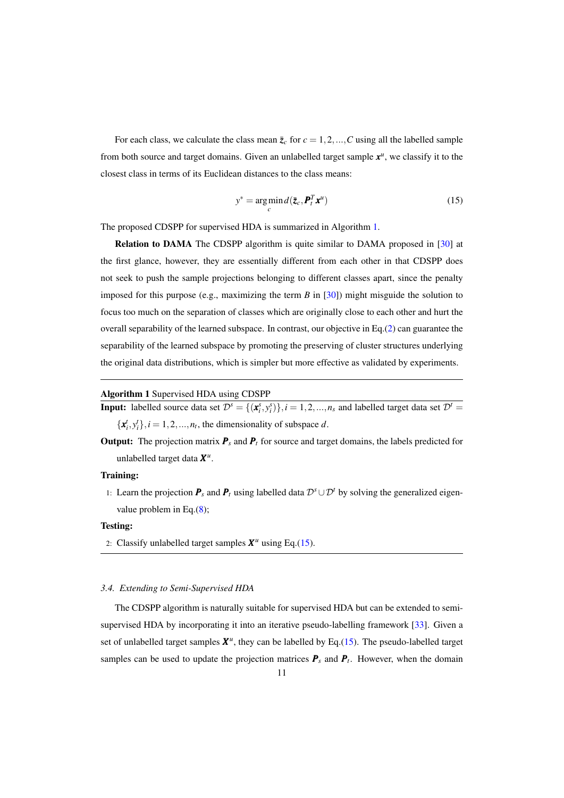For each class, we calculate the class mean  $\bar{z}_c$  for  $c = 1, 2, ..., C$  using all the labelled sample from both source and target domains. Given an unlabelled target sample  $x^u$ , we classify it to the closest class in terms of its Euclidean distances to the class means:

<span id="page-10-1"></span>
$$
y^* = \arg\min_{c} d(\bar{\mathbf{z}}_c, \mathbf{P}_t^T \mathbf{x}^u)
$$
 (15)

The proposed CDSPP for supervised HDA is summarized in Algorithm [1.](#page-10-0)

Relation to DAMA The CDSPP algorithm is quite similar to DAMA proposed in [\[30\]](#page-27-2) at the first glance, however, they are essentially different from each other in that CDSPP does not seek to push the sample projections belonging to different classes apart, since the penalty imposed for this purpose (e.g., maximizing the term  $B$  in [\[30\]](#page-27-2)) might misguide the solution to focus too much on the separation of classes which are originally close to each other and hurt the overall separability of the learned subspace. In contrast, our objective in Eq.[\(2\)](#page-7-0) can guarantee the separability of the learned subspace by promoting the preserving of cluster structures underlying the original data distributions, which is simpler but more effective as validated by experiments.

### <span id="page-10-0"></span>Algorithm 1 Supervised HDA using CDSPP

**Input:** labelled source data set  $\mathcal{D}^s = \{(\mathbf{x}_i^s, y_i^s)\}, i = 1, 2, ..., n_s$  and labelled target data set  $\mathcal{D}^t =$  ${x_i^t, y_i^t}$ ,  $i = 1, 2, ..., n_t$ , the dimensionality of subspace *d*.

**Output:** The projection matrix  $P_s$  and  $P_t$  for source and target domains, the labels predicted for unlabelled target data *X u* .

### Training:

1: Learn the projection  $\mathbf{P}_s$  and  $\mathbf{P}_t$  using labelled data  $\mathcal{D}^s \cup \mathcal{D}^t$  by solving the generalized eigenvalue problem in Eq.[\(8\)](#page-8-2);

### Testing:

2: Classify unlabelled target samples  $X^u$  using Eq.[\(15\)](#page-10-1).

### <span id="page-10-2"></span>*3.4. Extending to Semi-Supervised HDA*

The CDSPP algorithm is naturally suitable for supervised HDA but can be extended to semisupervised HDA by incorporating it into an iterative pseudo-labelling framework [\[33\]](#page-28-1). Given a set of unlabelled target samples  $X^u$ , they can be labelled by Eq.[\(15\)](#page-10-1). The pseudo-labelled target samples can be used to update the projection matrices  $P_s$  and  $P_t$ . However, when the domain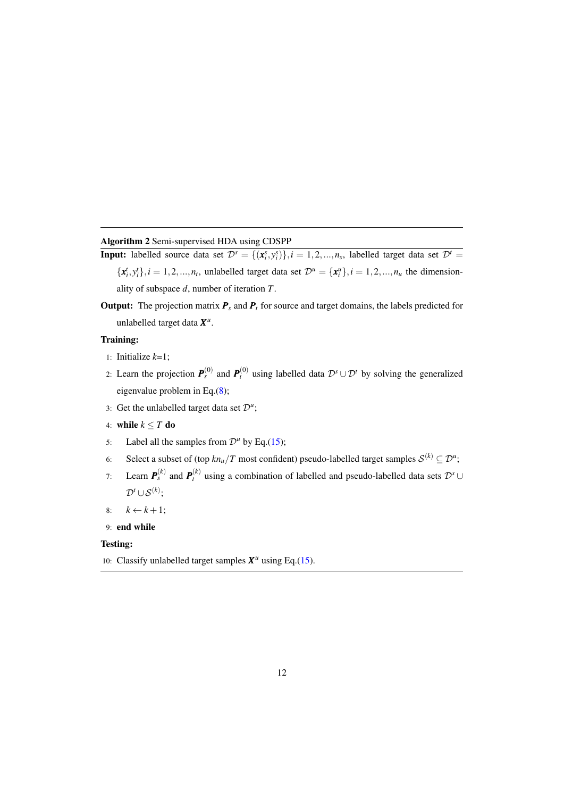# <span id="page-11-0"></span>Algorithm 2 Semi-supervised HDA using CDSPP

- **Input:** labelled source data set  $\mathcal{D}^s = \{(\mathbf{x}_i^s, y_i^s)\}, i = 1, 2, ..., n_s$ , labelled target data set  $\mathcal{D}^t =$  ${x_i^t, y_i^t}, i = 1, 2, ..., n_t$ , unlabelled target data set  $\mathcal{D}^u = {x_i^u}, i = 1, 2, ..., n_u$  the dimensionality of subspace *d*, number of iteration *T*.
- **Output:** The projection matrix  $P_s$  and  $P_t$  for source and target domains, the labels predicted for unlabelled target data *X u* .

# Training:

- 1: Initialize *k*=1;
- 2: Learn the projection  $P_s^{(0)}$  and  $P_t^{(0)}$  using labelled data  $\mathcal{D}^s \cup \mathcal{D}^t$  by solving the generalized eigenvalue problem in Eq.[\(8\)](#page-8-2);
- 3: Get the unlabelled target data set  $\mathcal{D}^u$ ;
- 4: while  $k \leq T$  do
- 5: Label all the samples from  $\mathcal{D}^u$  by Eq.[\(15\)](#page-10-1);
- 6: Select a subset of (top  $k n_u/T$  most confident) pseudo-labelled target samples  $\mathcal{S}^{(k)} \subseteq \mathcal{D}^u$ ;
- 7: Learn  $P_s^{(k)}$  and  $P_t^{(k)}$  using a combination of labelled and pseudo-labelled data sets  $\mathcal{D}^s \cup$  $\mathcal{D}^t \cup \mathcal{S}^{(k)};$
- 8:  $k \leftarrow k+1$ ;
- 9: end while

### Testing:

10: Classify unlabelled target samples  $X^u$  using Eq.[\(15\)](#page-10-1).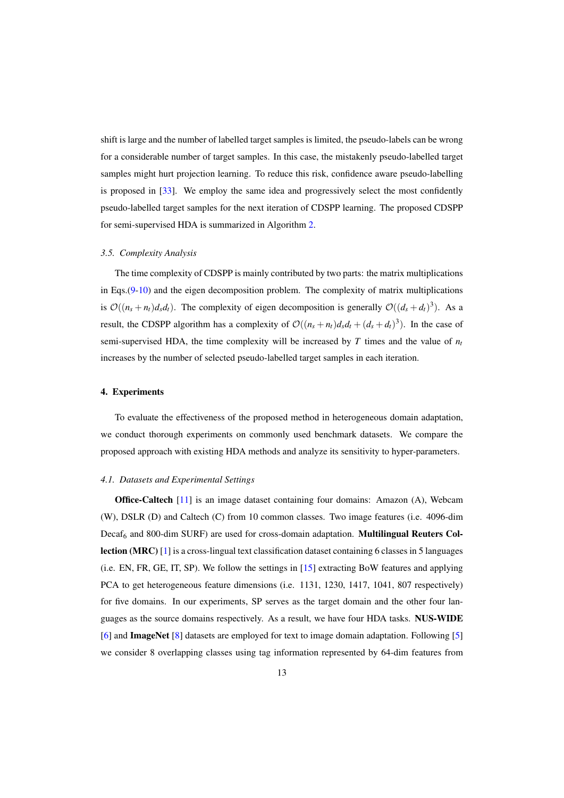shift is large and the number of labelled target samples is limited, the pseudo-labels can be wrong for a considerable number of target samples. In this case, the mistakenly pseudo-labelled target samples might hurt projection learning. To reduce this risk, confidence aware pseudo-labelling is proposed in [\[33\]](#page-28-1). We employ the same idea and progressively select the most confidently pseudo-labelled target samples for the next iteration of CDSPP learning. The proposed CDSPP for semi-supervised HDA is summarized in Algorithm [2.](#page-11-0)

### *3.5. Complexity Analysis*

The time complexity of CDSPP is mainly contributed by two parts: the matrix multiplications in Eqs.[\(9](#page-8-3)[-10\)](#page-8-4) and the eigen decomposition problem. The complexity of matrix multiplications is  $\mathcal{O}((n_s + n_t)d_s d_t)$ . The complexity of eigen decomposition is generally  $\mathcal{O}((d_s + d_t)^3)$ . As a result, the CDSPP algorithm has a complexity of  $\mathcal{O}((n_s + n_t)d_s d_t + (d_s + d_t)^3)$ . In the case of semi-supervised HDA, the time complexity will be increased by  $T$  times and the value of  $n_t$ increases by the number of selected pseudo-labelled target samples in each iteration.

# 4. Experiments

To evaluate the effectiveness of the proposed method in heterogeneous domain adaptation, we conduct thorough experiments on commonly used benchmark datasets. We compare the proposed approach with existing HDA methods and analyze its sensitivity to hyper-parameters.

### *4.1. Datasets and Experimental Settings*

Office-Caltech [\[11\]](#page-27-16) is an image dataset containing four domains: Amazon (A), Webcam (W), DSLR (D) and Caltech (C) from 10 common classes. Two image features (i.e. 4096-dim  $Decaf<sub>6</sub>$  and 800-dim SURF) are used for cross-domain adaptation. **Multilingual Reuters Col**lection (MRC) [\[1\]](#page-26-6) is a cross-lingual text classification dataset containing 6 classes in 5 languages (i.e. EN, FR, GE, IT, SP). We follow the settings in [\[15\]](#page-27-7) extracting BoW features and applying PCA to get heterogeneous feature dimensions (i.e. 1131, 1230, 1417, 1041, 807 respectively) for five domains. In our experiments, SP serves as the target domain and the other four languages as the source domains respectively. As a result, we have four HDA tasks. NUS-WIDE [\[6\]](#page-26-7) and ImageNet [\[8\]](#page-26-0) datasets are employed for text to image domain adaptation. Following [\[5\]](#page-26-8) we consider 8 overlapping classes using tag information represented by 64-dim features from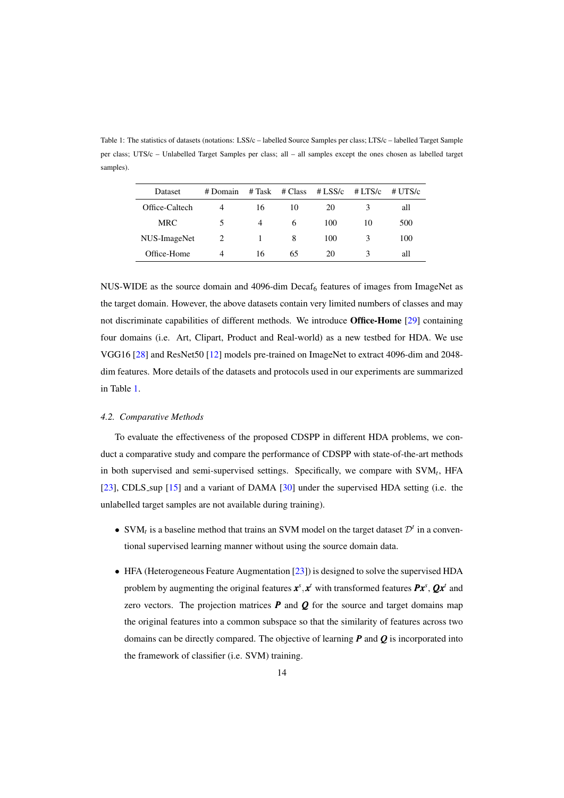<span id="page-13-0"></span>per class; UTS/c – Unlabelled Target Samples per class; all – all samples except the ones chosen as labelled target samples).

Table 1: The statistics of datasets (notations: LSS/c – labelled Source Samples per class; LTS/c – labelled Target Sample

| Dataset        | # Domain | # Task | # Class | # LSS/ $c$ | $# \text{LTS/c}$ | $# \overline{UTS/c}$ |
|----------------|----------|--------|---------|------------|------------------|----------------------|
| Office-Caltech |          | 16     | 10      | 20         |                  | all                  |
| <b>MRC</b>     | 5        | 4      | 6       | 100        | 10               | 500                  |
| NUS-ImageNet   |          |        | 8       | 100        | κ                | 100                  |
| Office-Home    | 4        | 16     | 65      | 20         |                  | all                  |

NUS-WIDE as the source domain and 4096-dim Decaf<sub>6</sub> features of images from ImageNet as the target domain. However, the above datasets contain very limited numbers of classes and may not discriminate capabilities of different methods. We introduce Office-Home [\[29\]](#page-27-17) containing four domains (i.e. Art, Clipart, Product and Real-world) as a new testbed for HDA. We use VGG16 [\[28\]](#page-27-18) and ResNet50 [\[12\]](#page-27-19) models pre-trained on ImageNet to extract 4096-dim and 2048 dim features. More details of the datasets and protocols used in our experiments are summarized in Table [1.](#page-13-0)

### *4.2. Comparative Methods*

To evaluate the effectiveness of the proposed CDSPP in different HDA problems, we conduct a comparative study and compare the performance of CDSPP with state-of-the-art methods in both supervised and semi-supervised settings. Specifically, we compare with SVM*<sup>t</sup>* , HFA [\[23\]](#page-27-13), CDLS sup [\[15\]](#page-27-7) and a variant of DAMA [\[30\]](#page-27-2) under the supervised HDA setting (i.e. the unlabelled target samples are not available during training).

- SVM<sub>t</sub> is a baseline method that trains an SVM model on the target dataset  $\mathcal{D}^t$  in a conventional supervised learning manner without using the source domain data.
- HFA (Heterogeneous Feature Augmentation [\[23\]](#page-27-13)) is designed to solve the supervised HDA problem by augmenting the original features  $x^s, x^t$  with transformed features  $Px^s, Qx^t$  and zero vectors. The projection matrices  $P$  and  $Q$  for the source and target domains map the original features into a common subspace so that the similarity of features across two domains can be directly compared. The objective of learning *P* and *Q* is incorporated into the framework of classifier (i.e. SVM) training.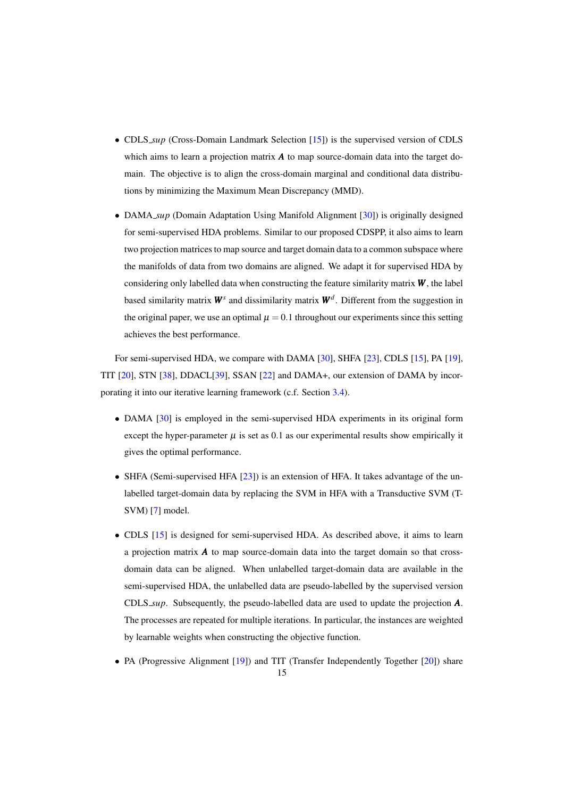- CDLS\_*sup* (Cross-Domain Landmark Selection [\[15\]](#page-27-7)) is the supervised version of CDLS which aims to learn a projection matrix *A* to map source-domain data into the target domain. The objective is to align the cross-domain marginal and conditional data distributions by minimizing the Maximum Mean Discrepancy (MMD).
- DAMA<sub>-Sup</sub> (Domain Adaptation Using Manifold Alignment [\[30\]](#page-27-2)) is originally designed for semi-supervised HDA problems. Similar to our proposed CDSPP, it also aims to learn two projection matrices to map source and target domain data to a common subspace where the manifolds of data from two domains are aligned. We adapt it for supervised HDA by considering only labelled data when constructing the feature similarity matrix *W* , the label based similarity matrix  $W^s$  and dissimilarity matrix  $W^d$ . Different from the suggestion in the original paper, we use an optimal  $\mu = 0.1$  throughout our experiments since this setting achieves the best performance.

For semi-supervised HDA, we compare with DAMA [\[30\]](#page-27-2), SHFA [\[23\]](#page-27-13), CDLS [\[15\]](#page-27-7), PA [\[19\]](#page-27-3), TIT [\[20\]](#page-27-10), STN [\[38\]](#page-28-10), DDACL[\[39\]](#page-28-12), SSAN [\[22\]](#page-27-20) and DAMA+, our extension of DAMA by incorporating it into our iterative learning framework (c.f. Section [3.4\)](#page-10-2).

- DAMA [\[30\]](#page-27-2) is employed in the semi-supervised HDA experiments in its original form except the hyper-parameter  $\mu$  is set as 0.1 as our experimental results show empirically it gives the optimal performance.
- SHFA (Semi-supervised HFA [\[23\]](#page-27-13)) is an extension of HFA. It takes advantage of the unlabelled target-domain data by replacing the SVM in HFA with a Transductive SVM (T-SVM) [\[7\]](#page-26-9) model.
- CDLS [\[15\]](#page-27-7) is designed for semi-supervised HDA. As described above, it aims to learn a projection matrix  $\boldsymbol{A}$  to map source-domain data into the target domain so that crossdomain data can be aligned. When unlabelled target-domain data are available in the semi-supervised HDA, the unlabelled data are pseudo-labelled by the supervised version CDLS *sup*. Subsequently, the pseudo-labelled data are used to update the projection *A*. The processes are repeated for multiple iterations. In particular, the instances are weighted by learnable weights when constructing the objective function.
- PA (Progressive Alignment [\[19\]](#page-27-3)) and TIT (Transfer Independently Together [\[20\]](#page-27-10)) share 15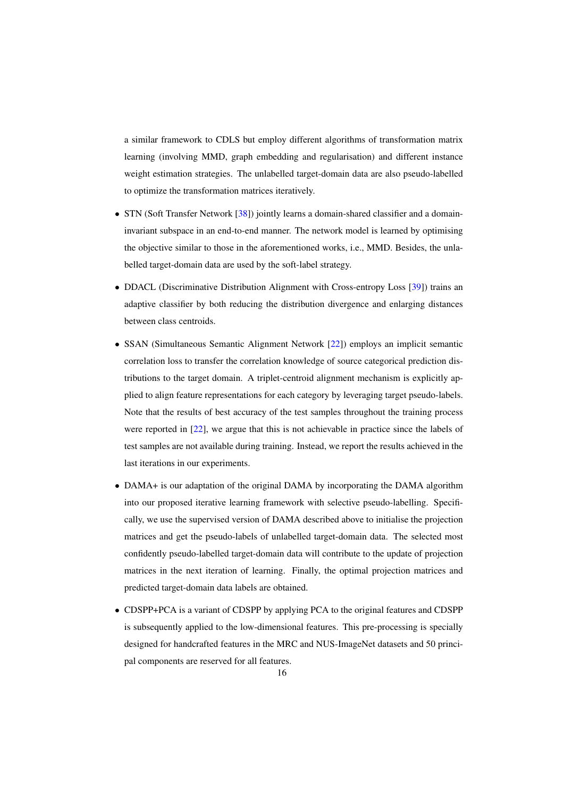a similar framework to CDLS but employ different algorithms of transformation matrix learning (involving MMD, graph embedding and regularisation) and different instance weight estimation strategies. The unlabelled target-domain data are also pseudo-labelled to optimize the transformation matrices iteratively.

- STN (Soft Transfer Network [\[38\]](#page-28-10)) jointly learns a domain-shared classifier and a domaininvariant subspace in an end-to-end manner. The network model is learned by optimising the objective similar to those in the aforementioned works, i.e., MMD. Besides, the unlabelled target-domain data are used by the soft-label strategy.
- DDACL (Discriminative Distribution Alignment with Cross-entropy Loss [\[39\]](#page-28-12)) trains an adaptive classifier by both reducing the distribution divergence and enlarging distances between class centroids.
- SSAN (Simultaneous Semantic Alignment Network [\[22\]](#page-27-20)) employs an implicit semantic correlation loss to transfer the correlation knowledge of source categorical prediction distributions to the target domain. A triplet-centroid alignment mechanism is explicitly applied to align feature representations for each category by leveraging target pseudo-labels. Note that the results of best accuracy of the test samples throughout the training process were reported in [\[22\]](#page-27-20), we argue that this is not achievable in practice since the labels of test samples are not available during training. Instead, we report the results achieved in the last iterations in our experiments.
- DAMA+ is our adaptation of the original DAMA by incorporating the DAMA algorithm into our proposed iterative learning framework with selective pseudo-labelling. Specifically, we use the supervised version of DAMA described above to initialise the projection matrices and get the pseudo-labels of unlabelled target-domain data. The selected most confidently pseudo-labelled target-domain data will contribute to the update of projection matrices in the next iteration of learning. Finally, the optimal projection matrices and predicted target-domain data labels are obtained.
- CDSPP+PCA is a variant of CDSPP by applying PCA to the original features and CDSPP is subsequently applied to the low-dimensional features. This pre-processing is specially designed for handcrafted features in the MRC and NUS-ImageNet datasets and 50 principal components are reserved for all features.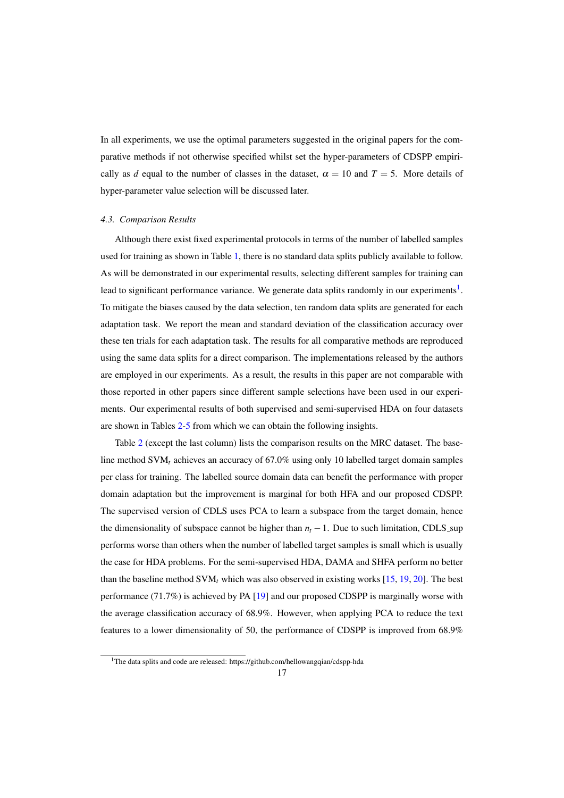In all experiments, we use the optimal parameters suggested in the original papers for the comparative methods if not otherwise specified whilst set the hyper-parameters of CDSPP empirically as *d* equal to the number of classes in the dataset,  $\alpha = 10$  and  $T = 5$ . More details of hyper-parameter value selection will be discussed later.

#### *4.3. Comparison Results*

Although there exist fixed experimental protocols in terms of the number of labelled samples used for training as shown in Table [1,](#page-13-0) there is no standard data splits publicly available to follow. As will be demonstrated in our experimental results, selecting different samples for training can lead to significant performance variance. We generate data splits randomly in our experiments<sup>[1](#page-16-0)</sup>. To mitigate the biases caused by the data selection, ten random data splits are generated for each adaptation task. We report the mean and standard deviation of the classification accuracy over these ten trials for each adaptation task. The results for all comparative methods are reproduced using the same data splits for a direct comparison. The implementations released by the authors are employed in our experiments. As a result, the results in this paper are not comparable with those reported in other papers since different sample selections have been used in our experiments. Our experimental results of both supervised and semi-supervised HDA on four datasets are shown in Tables [2-](#page-17-0)[5](#page-18-0) from which we can obtain the following insights.

Table [2](#page-17-0) (except the last column) lists the comparison results on the MRC dataset. The baseline method SVM*<sup>t</sup>* achieves an accuracy of 67.0% using only 10 labelled target domain samples per class for training. The labelled source domain data can benefit the performance with proper domain adaptation but the improvement is marginal for both HFA and our proposed CDSPP. The supervised version of CDLS uses PCA to learn a subspace from the target domain, hence the dimensionality of subspace cannot be higher than *n<sup>t</sup>* −1. Due to such limitation, CDLS sup performs worse than others when the number of labelled target samples is small which is usually the case for HDA problems. For the semi-supervised HDA, DAMA and SHFA perform no better than the baseline method  $SVM_t$  which was also observed in existing works [\[15,](#page-27-7) [19,](#page-27-3) [20\]](#page-27-10). The best performance (71.7%) is achieved by PA [\[19\]](#page-27-3) and our proposed CDSPP is marginally worse with the average classification accuracy of 68.9%. However, when applying PCA to reduce the text features to a lower dimensionality of 50, the performance of CDSPP is improved from 68.9%

<span id="page-16-0"></span><sup>&</sup>lt;sup>1</sup>The data splits and code are released: https://github.com/hellowangqian/cdspp-hda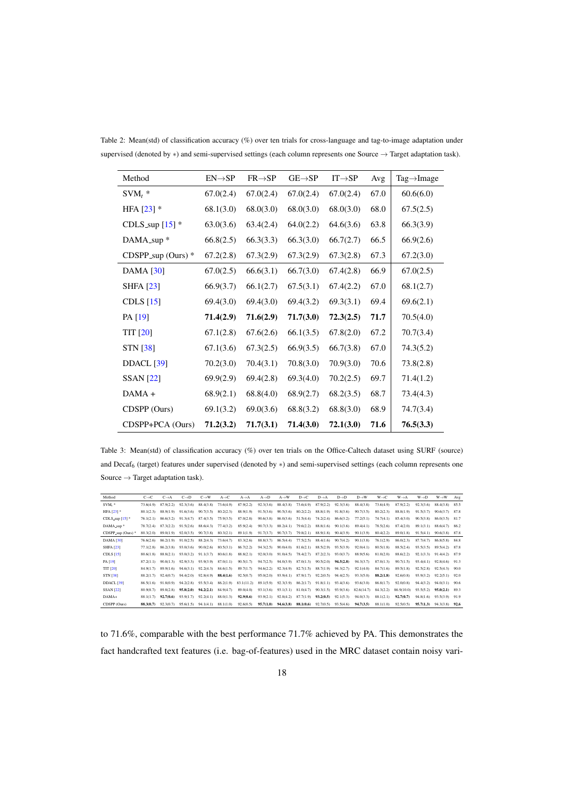<span id="page-17-0"></span>

| Method                  | $EN \rightarrow SP$ | $FR \rightarrow SP$ | $GE \rightarrow SP$ | $IT \rightarrow SP$ | Avg  | $Tag \rightarrow Image$ |
|-------------------------|---------------------|---------------------|---------------------|---------------------|------|-------------------------|
| $SVM_t$ *               | 67.0(2.4)           | 67.0(2.4)           | 67.0(2.4)           | 67.0(2.4)           | 67.0 | 60.6(6.0)               |
| HFA $[23]$ *            | 68.1(3.0)           | 68.0(3.0)           | 68.0(3.0)           | 68.0(3.0)           | 68.0 | 67.5(2.5)               |
| CDLS_sup $[15]$ *       | 63.0(3.6)           | 63.4(2.4)           | 64.0(2.2)           | 64.6(3.6)           | 63.8 | 66.3(3.9)               |
| DAMA_sup *              | 66.8(2.5)           | 66.3(3.3)           | 66.3(3.0)           | 66.7(2.7)           | 66.5 | 66.9(2.6)               |
| $CDSPP$ _sup (Ours) $*$ | 67.2(2.8)           | 67.3(2.9)           | 67.3(2.9)           | 67.3(2.8)           | 67.3 | 67.2(3.0)               |
| DAMA [30]               | 67.0(2.5)           | 66.6(3.1)           | 66.7(3.0)           | 67.4(2.8)           | 66.9 | 67.0(2.5)               |
| <b>SHFA</b> [23]        | 66.9(3.7)           | 66.1(2.7)           | 67.5(3.1)           | 67.4(2.2)           | 67.0 | 68.1(2.7)               |
| CDLS $[15]$             | 69.4(3.0)           | 69.4(3.0)           | 69.4(3.2)           | 69.3(3.1)           | 69.4 | 69.6(2.1)               |
| PA [19]                 | 71.4(2.9)           | 71.6(2.9)           | 71.7(3.0)           | 72.3(2.5)           | 71.7 | 70.5(4.0)               |
| TIT [20]                | 67.1(2.8)           | 67.6(2.6)           | 66.1(3.5)           | 67.8(2.0)           | 67.2 | 70.7(3.4)               |
| STN [38]                | 67.1(3.6)           | 67.3(2.5)           | 66.9(3.5)           | 66.7(3.8)           | 67.0 | 74.3(5.2)               |
| <b>DDACL</b> [39]       | 70.2(3.0)           | 70.4(3.1)           | 70.8(3.0)           | 70.9(3.0)           | 70.6 | 73.8(2.8)               |
| <b>SSAN</b> [22]        | 69.9(2.9)           | 69.4(2.8)           | 69.3(4.0)           | 70.2(2.5)           | 69.7 | 71.4(1.2)               |
| $DAMA +$                | 68.9(2.1)           | 68.8(4.0)           | 68.9(2.7)           | 68.2(3.5)           | 68.7 | 73.4(4.3)               |
| CDSPP (Ours)            | 69.1(3.2)           | 69.0(3.6)           | 68.8(3.2)           | 68.8(3.0)           | 68.9 | 74.7(3.4)               |
| CDSPP+PCA (Ours)        | 71.2(3.2)           | 71.7(3.1)           | 71.4(3.0)           | 72.1(3.0)           | 71.6 | 76.5(3.3)               |

Table 2: Mean(std) of classification accuracy (%) over ten trials for cross-language and tag-to-image adaptation under supervised (denoted by \*) and semi-supervised settings (each column represents one Source → Target adaptation task).

Table 3: Mean(std) of classification accuracy (%) over ten trials on the Office-Caltech dataset using SURF (source) and Decaf<sup>6</sup> (target) features under supervised (denoted by ∗) and semi-supervised settings (each column represents one Source  $\rightarrow$  Target adaptation task).

<span id="page-17-1"></span>

| Method                                     | $C\rightarrow C$ | $C \rightarrow A$ | $C \rightarrow D$ | $C \rightarrow W$ | $A \rightarrow C$ | $A \rightarrow A$ | $A \rightarrow D$ | $A \rightarrow W$ | $D\rightarrow C$ | $D\rightarrow A$ | $D \rightarrow D$ | $D \rightarrow W$ | $W \rightarrow C$ | $W \rightarrow A$ | $W \rightarrow D$ | $W \rightarrow W$ | Avg  |
|--------------------------------------------|------------------|-------------------|-------------------|-------------------|-------------------|-------------------|-------------------|-------------------|------------------|------------------|-------------------|-------------------|-------------------|-------------------|-------------------|-------------------|------|
| $SVM.$ *                                   | 73.6(4.9)        | 87.9(2.2)         | 92.3(3.6)         | 88.4(3.8)         | 73.6(4.9)         | 87.9(2.2)         | 92.3(3.6)         | 88.4(3.8)         | 73.6(4.9)        | 87.9(2.2)        | 92.3(3.6)         | 88.4(3.8)         | 73.6(4.9)         | 87.9(2.2)         | 92.3(3.6)         | 88.4(3.8)         | 85.5 |
| HFA $[23]$ *                               | 80.1(2.3)        | 88 9(1.9)         | 91.6(3.6)         | 90.7(3.5)         | 80.2(2.3)         | 88.9(1.9)         | 91.5(3.6)         | 90.5(3.6)         | 80.2(2.2)        | 88.8(1.9)        | 91.8(3.6)         | 90.7(3.5)         | 80.2(2.3)         | 88.8(1.9)         | 91.5(3.7)         | 90.6(3.7)         | 878  |
| CDLS_sup $[15]$ <sup>*</sup>               | 76.1(2.1)        | 86.6(3.2)         | 91.3(4.7)         | 87.4(3.5)         | 75.9(3.5)         | 87.0(2.8)         | 90.6(3.8)         | 86,0(3.6)         | 51.5(4.4)        | 74.2(2.4)        | 86.6(3.2)         | 77.2(5.1)         | 74.7(4.1)         | 85.4(3.0)         | 90.5(3.8)         | 86.0(3.5)         | 81.7 |
| DAMA_sup *                                 | 78.7(2.4)        | 87.3(2.2)         | 91.5(2.6)         | 88.6(4.3)         | 77.4(3.2)         | 85.9(2.4)         | 90.7(3.3)         | 88.2(4.1)         | 79.6(2.2)        | 88.8(1.6)        | 90.1(3.6)         | 89.4(4.1)         | 78.5(2.6)         | 87.4(2.0)         | 89.1(3.1)         | 88.6(4.7)         | 86.2 |
| $CDSPP$ <sub>Sup</sub> (Ours) <sup>*</sup> | 80.3(2.0)        | 89.0(1.9)         | 92.0(3.5)         | 90.7(3.8)         | 80.3(2.1)         | 89.1(1.9)         | 91.7(3.7)         | 90.7(3.7)         | 79.8(2.1)        | 88.9(1.8)        | 90.4(3.9)         | 90.1(3.9)         | 80.4(2.2)         | 89.0(1.8)         | 91.5(4.1)         | 90.6(3.8)         | 87.8 |
| DAMA [30]                                  | 76.6(2.6)        | 86.2(1.9)         | 91.0(2.5)         | 88.2(4.3)         | 73.6(4.7)         | 83.3(2.6)         | 88.8(3.7)         | 86.5(4.4)         | 77.5(2.5)        | 88.4(1.6)        | 90.7(4.2)         | 90.1(3.8)         | 76.1(2.9)         | 86.0(2.3)         | 87.7(4.7)         | 86.8(5.8)         | 84.8 |
| <b>SHFA</b> [23]                           | 77.1(2.8)        | 86.2(3.8)         | 93.0(3.6)         | 90.0(2.6)         | 80.5(3.1)         | 86.7(2.2)         | 94.3(2.5)         | 90.0(4.0)         | 81.6(2.1)        | 88.5(2.9)        | 93.5(3.9)         | 92.0(4.1)         | 80.5(1.8)         | 88.5(2.4)         | 93.5(3.5)         | 89.5(4.2)         | 87.8 |
| CDLS $[15]$                                | 80.6(1.8)        | 88.8(2.1)         | 93.0(3.2)         | 91.1(3.7)         | 80.6(1.8)         | 88.8(2.1)         | 92.0(3.0)         | 91.0(4.5)         | 78.4(2.7)        | 87.2(2.3)        | 93.0(3.7)         | 88.9(5.6)         | 81.0(2.0)         | 88.6(2.2)         | 92.1(3.3)         | 91.4(4.2)         | 87.9 |
| PA [19]                                    | 87.2(1.1)        | 90.8(1.3)         | 92.9(3.3)         | 93.9(3.9)         | 87.0(1.1)         | 90.5(1.7)         | 94.7(2.5)         | 94.0(3.9)         | 87.0(1.3)        | 90.5(2.0)        | 94.5(2.8)         | 94.3(3.7)         | 87.0(1.3)         | 90.7(1.5)         | 93.4(4.1)         | 92.8(4.6)         | 91.3 |
| <b>TIT [20]</b>                            | 84.9(1.7)        | 89.9(1.6)         | 94.6(3.1)         | 92.2(4.3)         | 84.6(1.5)         | 89.7(1.7)         | 94.6(2.2)         | 92.3(4.9)         | 82.7(1.5)        | 88.7(1.9)        | 94.3(2.7)         | 92.1(4.0)         | 84.7(1.6)         | 89.5(1.8)         | 92.5(2.8)         | 92.5(4.3)         | 90.0 |
| <b>STN</b> [38]                            | 88.2(1.7)        | 92.4(0.7)         | 94.4(2.0)         | 92.8(4.9)         | 88.4(1.6)         | 92.5(0.7)         | 95.0(2.0)         | 93.9(4.1)         | 87.9(1.7)        | 92.2(0.5)        | 94.4(2.5)         | 93.3(5.0)         | 88.2(1.8)         | 92.6(0.8)         | 93.9(3.2)         | 92.2(5.1)         | 92.0 |
| <b>DDACL [39]</b>                          | 86.5(1.6)        | 91.8(0.9)         | 94.2(2.8)         | 93.5(3.4)         | 86.2(1.9)         | 83.1(11.2)        | 89.1(5.9)         | 92.3(3.9)         | 86.2(1.7)        | 91.8(1.1)        | 93.4(3.6)         | 93.6(3.0)         | 86.8(1.7)         | 92.0(0.8)         | 94.4(3.2)         | 94.0(3.1)         | 90.6 |
| <b>SSAN</b> [22]                           | 80.9(8.7)        | 89.8(2.8)         | 95.8(2.0)         | 94,2(2,1)         | 84.9(4.7)         | 89.0(4.0)         | 93.1(3.6)         | 93.1(3.1)         | 81.0(4.7)        | 90.3(1.5)        | 93.9(3.6)         | 82.6(14.7)        | 84.3(2.2)         | 86.9(10.0)        | 93.5(5.2)         | 95,0(2,1)         | 89.3 |
| $DAMA+$                                    | 88.1(1.7)        | 92.7(0.6)         | 93.9(1.7)         | 92.2(4.1)         | 88.0(1.3)         | 92.9(0.6)         | 93.9(2.1)         | 92.8(4.2)         | 87.7(1.9)        | 93.2(0.5)        | 92.1(5.3)         | 94.0(3.3)         | 88.1(2.1)         | 92.7(0.7)         | 94.8(1.6)         | 93.5(3.9)         | 91.9 |
| CDSPP (Ours)                               | 88.300.7)        | 92.3(0.7)         | 95.6(1.5)         | 94.1(4.1)         | 88.1(1.0)         | 92.6(0.5)         | 95,7(1,0)         | 94.6(3.8)         | 88.10.6          | 92.7(0.5)        | 93.5(4.6)         | 94,7(3.5)         | 88.1(1.0)         | 92.5(0.5)         | 95,7(1,3)         | 94.3(3.8)         | 92.6 |

to 71.6%, comparable with the best performance 71.7% achieved by PA. This demonstrates the fact handcrafted text features (i.e. bag-of-features) used in the MRC dataset contain noisy vari-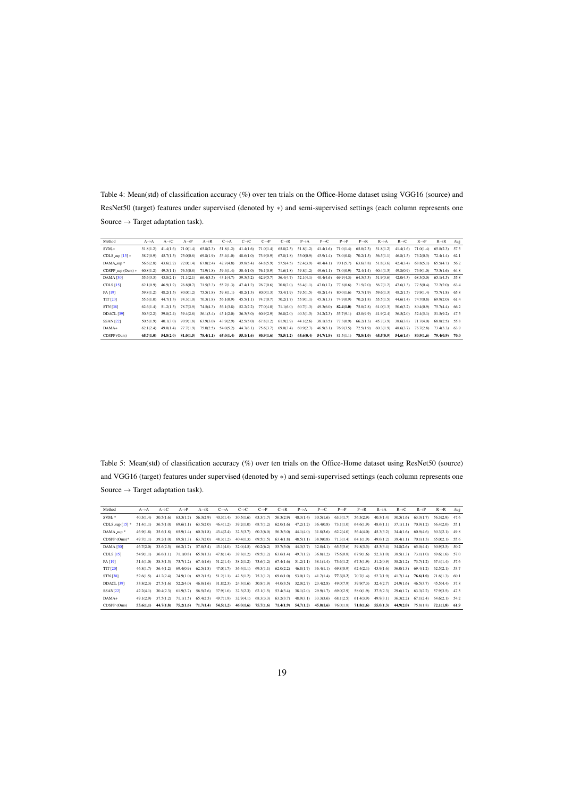Table 4: Mean(std) of classification accuracy (%) over ten trials on the Office-Home dataset using VGG16 (source) and ResNet50 (target) features under supervised (denoted by ∗) and semi-supervised settings (each column represents one Source  $\rightarrow$  Target adaptation task).

<span id="page-18-1"></span>

| Method                 | $A \rightarrow A$ | $A \rightarrow C$ | $A \rightarrow P$ | $A \rightarrow R$ | $C \rightarrow A$ | $C\rightarrow C$ | $C \rightarrow P$ | $C\rightarrow R$ | $P \rightarrow A$ | $P \rightarrow C$       | $P \rightarrow P$ | $P \rightarrow R$ | $R \rightarrow A$ | $R \rightarrow C$ | $R \rightarrow P$ | $R \rightarrow R$ | Avg  |
|------------------------|-------------------|-------------------|-------------------|-------------------|-------------------|------------------|-------------------|------------------|-------------------|-------------------------|-------------------|-------------------|-------------------|-------------------|-------------------|-------------------|------|
| $SVM.*$                | 51.8(1.2)         | 41.4(1.6)         | 71.0(1.4)         | 65.8(2.3)         | 51.8(1.2)         | 41.4(1.6)        | 71.0(1.4)         | 65.8(2.3)        | 51.8(1.2)         | 41.4(1.6)               | 71.0(1.4)         | 65.8(2.3)         | 51.8(1.2)         | 41.4(1.6)         | 71.0(1.4)         | 65.8(2.3)         | 57.5 |
| CDLS_sup $[15]$ *      | 58.7(0.9)         | 45.7(1.5)         | 75.0(0.8)         | 69.8(1.9)         | 53.4(1.0)         | 48.6(1.0)        | 73.9(0.9)         | 67.8(1.8)        | 55,000.9          | 45.9(1.4)               | 78,000.8          | 70.2(1.5)         | 56.5(1.1)         | 46.8(1.5)         | 76.2(0.5)         | 72.4(1.4)         | 62.1 |
| DAMA_sup <sup>*</sup>  | 56.6(2.8)         | 43.6(2.2)         | 72.0(1.4)         | 67.8(2.4)         | 42.7(4.8)         | 39.8(5.4)        | 64.8(5.9)         | 57.5(4.5)        | 52.4(3.9)         | 40.4(4.1)               | 70.1(5.7)         | 63.6(3.8)         | 51.8(3.6)         | 42.4(3.4)         | 68.8(5.1)         | 65.5(4.7)         | 56.2 |
| $CDSPP_sup$ (Ours) $*$ | 60.8(1.2)         | 49.5(1.1)         | 76.3(0.8)         | 71.9(1.8)         | 59.4(1.4)         | 50.4(1.0)        | 76.1(0.9)         | 71.6(1.8)        | 59.8(1.2)         | 49.6(1.1)               | 78.0(0.9)         | 72.4(1.4)         | 60.4(1.3)         | 49.8(0.9)         | 76.9(1.0)         | 73.3(1.6)         | 64.8 |
| <b>DAMA [30]</b>       | 55.6(3.3)         | 43.8(2.1)         | 71.1(2.1)         | 66,4(3,5)         | 43.1(4.7)         | 39.3(5.2)        | 62.9(5.7)         | 56,4(4.7)        | 52.1(4.1)         | 40.4(4.6)               | 69.9(4.3)         | 64.3(5.3)         | 51.9(3.6)         | 42.0(4.3)         | 68.3(5.0)         | 65.1(4.5)         | 55.8 |
| CDLS $[15]$            | 62.1(0.9)         | 46.9(1.2)         | 76.8(0.7)         | 71.5(2.3)         | 55.7(1.3)         | 47.4(1.2)        | 76.7(0.6)         | 70.8(2.0)        | 56.4(1.1)         | 47.0(1.2)               | 77.8(0.6)         | 71.5(2.0)         | 56.7(1.2)         | 47.6(1.3)         | 77.5(0.4)         | 72.2(2.0)         | 63.4 |
| PA [19]                | 59.8(1.2)         | 48.2(1.5)         | 80.0(1.2)         | 75.5(1.8)         | 59.8(1.1)         | 48.2(1.3)        | 80.0(1.3)         | 75.4(1.9)        | 59.5(1.5)         | 48.2(1.4)               | 80.0(1.6)         | 75.7(1.9)         | 59.6(1.3)         | 48.2(1.5)         | 79.9(1.4)         | 75.7(1.8)         | 65.8 |
| <b>TIT [20]</b>        | 55.6(1.0)         | 44.7(1.3)         | 74.3(1.0)         | 70.3(1.8)         | 56.1(0.9)         | 45.5(1.1)        | 74.7(0.7)         | 70.2(1.7)        | 55.9(1.1)         | 45.3(1.3)               | 74.9(0.9)         | 70.2(1.8)         | 55.5(1.5)         | 44.6(1.4)         | 74.7(0.8)         | 69.9(2.0)         | 61.4 |
| <b>STN [38]</b>        | 62.6(1.4)         | 51.2(1.5)         | 78.7(3.9)         | 74.5(4.3)         | 56.1(3.8)         | 52.2(2.2)        | 77.0(4.0)         | 71.1(6.0)        | 60.7(1.3)         | 49.3(6.0)               | 82.4(1.0)         | 75.8(2.8)         | 61.0(1.3)         | 50.6(3.2)         | 80.4(0.9)         | 75.7(4.4)         | 66.2 |
| DDACL <sup>[39]</sup>  | 50.3(2.2)         | 39.8(2.4)         | 59.4(2.8)         | 56.1(3.4)         | 45.1(2.0)         | 36.3(3.0)        | 60.9(2.9)         | 56.8(2.0)        |                   | $40.3(1.5)$ $34.2(2.3)$ | 55.7(9.1)         | 43.0(9.9)         | 41.9(2.4)         | 36.5(2.0)         | 52.4(5.1)         | 51.5(9.2)         | 47.5 |
| <b>SSAN</b> [22]       | 50.5(1.9)         | 40.1(3.0)         | 70.9(1.8)         | 63.9(3.0)         | 43.9(2.9)         | 42.5(5.0)        | 67.8(1.2)         | 61.9(2.9)        | 44.1(2.6)         | 38.1(3.5)               | 77.3(0.9)         | 66.2(1.3)         | 45.7(3.9)         | 38.6(3.8)         | 71.7(4.0)         | 68.8(2.5)         | 55.8 |
| DAMA+                  | 62.1(2.4)         | 49.0(1.4)         | 77.7(1.9)         | 75.0(2.5)         | 54.0(5.2)         | 44.7(6.1)        | 75.6(3.7)         | 69.0(3.4)        | 60.9(2.7)         | 46.9(3.1)               | 76.9(3.5)         | 72.5(1.9)         | 60.3(1.9)         | 48.6(3.7)         | 76.7(2.8)         | 73.4(3.3)         | 63.9 |
| CDSPP (Ours)           | 65,7(1.0)         | 54.8(2.0)         | 81.0(1.5)         | 78.4(1.1)         | 65,0(1.4)         | 55,1(1.6)        | 80.9(1.6)         | 78.5(1.2)        | 65.6(0.4)         | 54,7(1.9)               | 81.5(1.1)         | 78.8(1.0)         | 65.5(0.9)         | 54,6(1,6)         | 80.9(1.6)         | 79,4(0.9)         | 70.0 |

Table 5: Mean(std) of classification accuracy (%) over ten trials on the Office-Home dataset using ResNet50 (source) and VGG16 (target) features under supervised (denoted by ∗) and semi-supervised settings (each column represents one  $\text{Source} \rightarrow \text{Target adaptation task).}$ 

<span id="page-18-0"></span>

| Method                       | $A \rightarrow A$ | $A \rightarrow C$ | $A \rightarrow P$ | $A \rightarrow R$ | $C \rightarrow A$ | $C\rightarrow C$ | $C \rightarrow P$ | $C\rightarrow R$ | $P \rightarrow A$                   | $P \rightarrow C$       | $P \rightarrow P$ | $P \rightarrow R$ | $R \rightarrow A$ | $R \rightarrow C$ | $R \rightarrow P$ | $R\rightarrow R$ | Avg    |
|------------------------------|-------------------|-------------------|-------------------|-------------------|-------------------|------------------|-------------------|------------------|-------------------------------------|-------------------------|-------------------|-------------------|-------------------|-------------------|-------------------|------------------|--------|
| $SVM, *$                     | 40.3(1.4)         | 30.5(1.6)         | 63.3(1.7)         | 56.3(2.9)         | 40.3(1.4)         | 30.5(1.6)        | 63.3(1.7)         | 56.3(2.9)        | 40.3(1.4)                           | 30.5(1.6)               | 63.3(1.7)         | 56.3(2.9)         | 40.3(1.4)         | 30.5(1.6)         | 63.3(1.7)         | 56.3(2.9)        | 47.6   |
| CDLS_sup $[15]$ <sup>*</sup> | 51.4(1.1)         | 36.5(1.0)         | 69.6(1.1)         | 63.5(2.0)         | 46.4(1.2)         | 39.2(1.0)        | 68.7(1.2)         | 62.0(1.6)        | 47.2(1.2)                           | 36,4(0.8)               | 73.1(1.0)         | 64.6(1.9)         | 48.6(1.1)         | 37.1(1.1)         | 70.9(1.2)         | 66,4(2.0)        | 55.1   |
| DAMA sup <sup>*</sup>        | 46.9(1.8)         | 35.6(1.8)         | 65.9(1.4)         | 60.3(1.8)         | 43.4(2.4)         | 32.5(3.7)        | 60.3(6.0)         | 56.3(3.0)        | 44.1(4.0)                           | 31.8(3.6)               | 62.2(4.0)         | 56.4(4.0)         | 45.3(3.2)         | 34.4(1.6)         | 60.9(4.6)         | 60.3(2.1)        | 49.8   |
| $CDSPP$ (Ours)*              | 49.7(1.1)         | 39.2(1.0)         | 69.5(1.3)         | 63.7(2.0)         | 48.3(1.2)         | 40.4(1.3)        | 69.5(1.5)         | 63.4(1.8)        | 48.5(1.1)                           | 38.9(0.8)               | 71.3(1.4)         | 64.1(1.9)         | 49.0(1.2)         | 39.4(1.1)         | 70.1(1.3)         | 65.0(2.1)        | 55.6   |
| <b>DAMA</b> [30]             | 46.7(2.0)         | 33.6(2.5)         | 66.2(1.7)         | 57.8(3.4)         | 43.1(4.0)         | 32.0(4.5)        | 60.2(6.2)         | 55.7(5.0)        |                                     | $44.3(3.7)$ $32.0(4.1)$ | 65.5(5.6)         | 59.8(3.5)         | 45.3(3.4)         | 34.8(2.6)         | 65.0(4.4)         | 60.9(3.5)        | 50.2   |
| CDLS $[15]$                  | 54.9(1.1)         | 36.6(1.1)         | 71.1(0.8)         | 65.9(1.3)         | 47.8(1.4)         | 39.8(1.2)        | 69.5(1.2)         | 63.6(1.4)        | 49.7(1.2)                           | 36.8(1.2)               | 75.6(0.8)         | 67.9(1.6)         | 52.3(1.0)         | 38.5(1.3)         | 73.1(1.0)         | 69.6(1.6)        | 57.0   |
| PA [19]                      | 51.4(1.0)         | 38.3(1.3)         | 73.7(1.2)         | 67.4(1.6)         | 51.2(1.4)         | 38.2(1.2)        | 73.6(1.2)         |                  | $67.4(1.6)$ $51.2(1.1)$ $38.1(1.4)$ |                         | 73.6(1.2)         | 67.3(1.9)         | 51.2(0.9)         | 38.2(1.2)         | 73.7(1.2)         | 67.4(1.4)        | 57.6   |
| <b>TIT [20]</b>              | 46.8(1.7)         | 36,4(1,2)         | 69.4(0.9)         | 62.5(1.8)         | 47.0(1.7)         | 36.4(1.1)        | 69.3(1.1)         | 62.0(2.2)        | 46.8(1.7)                           | 36.4(1.1)               | 69.8(0.9)         | 62.4(2.1)         | 45.9(1.6)         | 36.0(1.3)         | 69,4(1.2)         | 62.5(2.1)        | 53.7   |
| <b>STN [38]</b>              | 52.6(1.5)         | 41.2(2.4)         | 74.9(1.0)         | 69.2(1.5)         | 51.2(1.1)         | 42.5(1.2)        | 75.3(1.2)         | 69.6(1.0)        | 53.0(1.2)                           | 41.7(1.4)               | 77.3(1.2)         | 70.7(1.4)         | 52.7(1.9)         | 41.7(1.4)         | 76,6(1,0)         | 71.6(1.3)        | - 60.1 |
| <b>DDACL</b> [39]            | 33.8(2.3)         | 27.5(1.6)         | 52.2(4.0)         | 46.8(1.6)         | 31.8(2.3)         | 24.3(1.6)        | 50.8(1.9)         | 44.0(3.5)        | 32.0(2.7)                           | 23.4(2.8)               | 49,0(7.9)         | 39.9(7.3)         | 32.4(2.7)         | 24.9(1.6)         | 46.5(3.7)         | 45.5(4.4)        | 37.8   |
| SSAN[22]                     | 42.2(4.1)         | 30.4(2.3)         | 61.9(3.7)         | 56.5(2.6)         | 37.9(1.6)         | 32.3(2.3)        | 62.1(1.5)         | 53.4(3.4)        | 38.1(2.0)                           | 29.9(1.7)               | 69.0(2.9)         | 58.0(1.9)         | 37.5(2.3)         | 29.6(1.7)         | 63.3(2.2)         | 57.9(3.5)        | 47.5   |
| $DAMA+$                      | 49.1(2.9)         | 37.5(1.2)         | 71.1(1.5)         | 65,4(2.5)         | 49.7(1.9)         | 32.9(4.1)        | 68.3(3.3)         | 63.2(3.7)        |                                     | $48.9(3.1)$ $33.3(3.6)$ | 68.1(2.5)         | 61.4(3.9)         | 49.9(3.1)         | 36.3(2.2)         | 67.1(2.4)         | $64.6(2.1)$ 54.2 |        |
| CDSPP (Ours)                 | 55.6(1.1)         | 44,7(1.8)         | 75.2(1.6)         | 71,7(1,4)         | 54.5(1.2)         | 46,0(1.6)        | 75,7(1.6)         | 71.4(1.9)        | 54,7(1,2)                           | 45.0(1.6)               | 76.0(1.8)         | 71.8(1.6)         | 55.0(1.3)         | 44.9(2.0)         | 75.8(1.8)         | 72.1(1.8)        | 61.9   |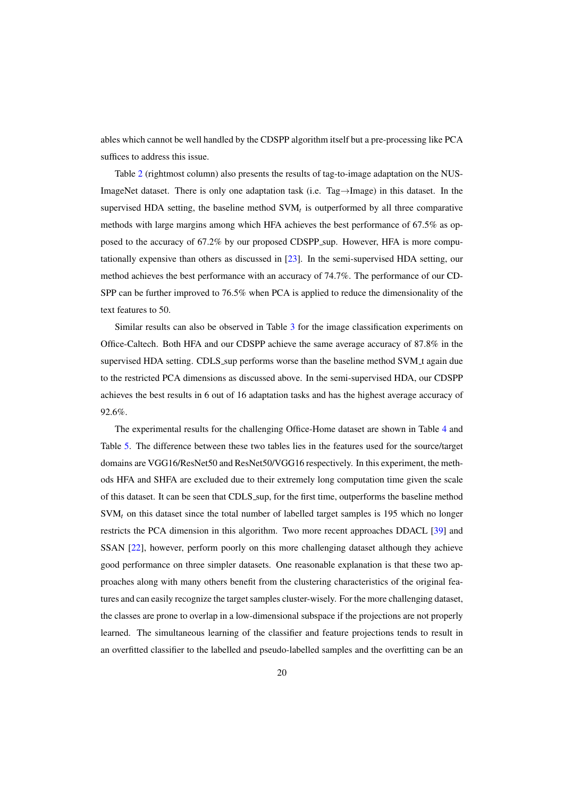ables which cannot be well handled by the CDSPP algorithm itself but a pre-processing like PCA suffices to address this issue.

Table [2](#page-17-0) (rightmost column) also presents the results of tag-to-image adaptation on the NUS-ImageNet dataset. There is only one adaptation task (i.e. Tag→Image) in this dataset. In the supervised HDA setting, the baseline method  $SVM<sub>t</sub>$  is outperformed by all three comparative methods with large margins among which HFA achieves the best performance of 67.5% as opposed to the accuracy of 67.2% by our proposed CDSPP sup. However, HFA is more computationally expensive than others as discussed in [\[23\]](#page-27-13). In the semi-supervised HDA setting, our method achieves the best performance with an accuracy of 74.7%. The performance of our CD-SPP can be further improved to 76.5% when PCA is applied to reduce the dimensionality of the text features to 50.

Similar results can also be observed in Table [3](#page-17-1) for the image classification experiments on Office-Caltech. Both HFA and our CDSPP achieve the same average accuracy of 87.8% in the supervised HDA setting. CDLS sup performs worse than the baseline method SVM t again due to the restricted PCA dimensions as discussed above. In the semi-supervised HDA, our CDSPP achieves the best results in 6 out of 16 adaptation tasks and has the highest average accuracy of 92.6%.

The experimental results for the challenging Office-Home dataset are shown in Table [4](#page-18-1) and Table [5.](#page-18-0) The difference between these two tables lies in the features used for the source/target domains are VGG16/ResNet50 and ResNet50/VGG16 respectively. In this experiment, the methods HFA and SHFA are excluded due to their extremely long computation time given the scale of this dataset. It can be seen that CDLS sup, for the first time, outperforms the baseline method SVM*<sup>t</sup>* on this dataset since the total number of labelled target samples is 195 which no longer restricts the PCA dimension in this algorithm. Two more recent approaches DDACL [\[39\]](#page-28-12) and SSAN [\[22\]](#page-27-20), however, perform poorly on this more challenging dataset although they achieve good performance on three simpler datasets. One reasonable explanation is that these two approaches along with many others benefit from the clustering characteristics of the original features and can easily recognize the target samples cluster-wisely. For the more challenging dataset, the classes are prone to overlap in a low-dimensional subspace if the projections are not properly learned. The simultaneous learning of the classifier and feature projections tends to result in an overfitted classifier to the labelled and pseudo-labelled samples and the overfitting can be an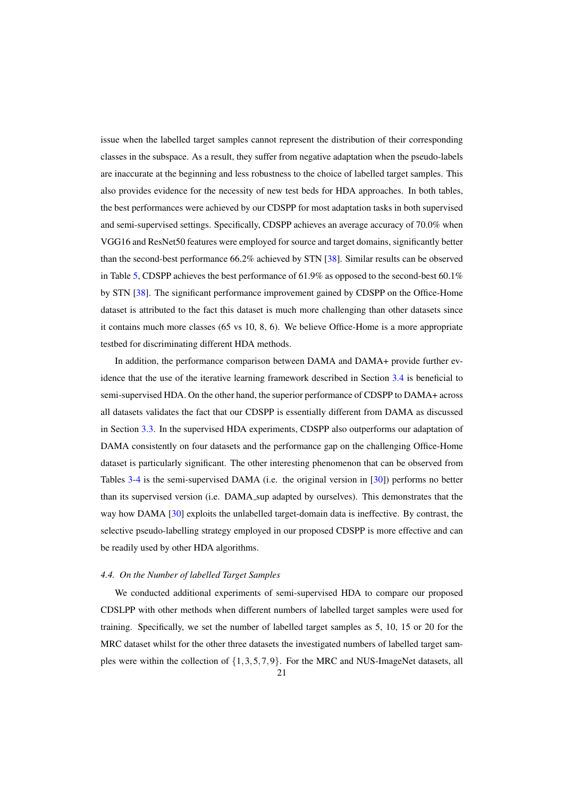issue when the labelled target samples cannot represent the distribution of their corresponding classes in the subspace. As a result, they suffer from negative adaptation when the pseudo-labels are inaccurate at the beginning and less robustness to the choice of labelled target samples. This also provides evidence for the necessity of new test beds for HDA approaches. In both tables, the best performances were achieved by our CDSPP for most adaptation tasks in both supervised and semi-supervised settings. Specifically, CDSPP achieves an average accuracy of 70.0% when VGG16 and ResNet50 features were employed for source and target domains, significantly better than the second-best performance 66.2% achieved by STN [\[38\]](#page-28-10). Similar results can be observed in Table [5,](#page-18-0) CDSPP achieves the best performance of 61.9% as opposed to the second-best 60.1% by STN [\[38\]](#page-28-10). The significant performance improvement gained by CDSPP on the Office-Home dataset is attributed to the fact this dataset is much more challenging than other datasets since it contains much more classes (65 vs 10, 8, 6). We believe Office-Home is a more appropriate testbed for discriminating different HDA methods.

In addition, the performance comparison between DAMA and DAMA+ provide further evidence that the use of the iterative learning framework described in Section [3.4](#page-10-2) is beneficial to semi-supervised HDA. On the other hand, the superior performance of CDSPP to DAMA+ across all datasets validates the fact that our CDSPP is essentially different from DAMA as discussed in Section [3.3.](#page-9-3) In the supervised HDA experiments, CDSPP also outperforms our adaptation of DAMA consistently on four datasets and the performance gap on the challenging Office-Home dataset is particularly significant. The other interesting phenomenon that can be observed from Tables [3-](#page-17-1)[4](#page-18-1) is the semi-supervised DAMA (i.e. the original version in [\[30\]](#page-27-2)) performs no better than its supervised version (i.e. DAMA sup adapted by ourselves). This demonstrates that the way how DAMA [\[30\]](#page-27-2) exploits the unlabelled target-domain data is ineffective. By contrast, the selective pseudo-labelling strategy employed in our proposed CDSPP is more effective and can be readily used by other HDA algorithms.

# *4.4. On the Number of labelled Target Samples*

We conducted additional experiments of semi-supervised HDA to compare our proposed CDSLPP with other methods when different numbers of labelled target samples were used for training. Specifically, we set the number of labelled target samples as 5, 10, 15 or 20 for the MRC dataset whilst for the other three datasets the investigated numbers of labelled target samples were within the collection of  $\{1,3,5,7,9\}$ . For the MRC and NUS-ImageNet datasets, all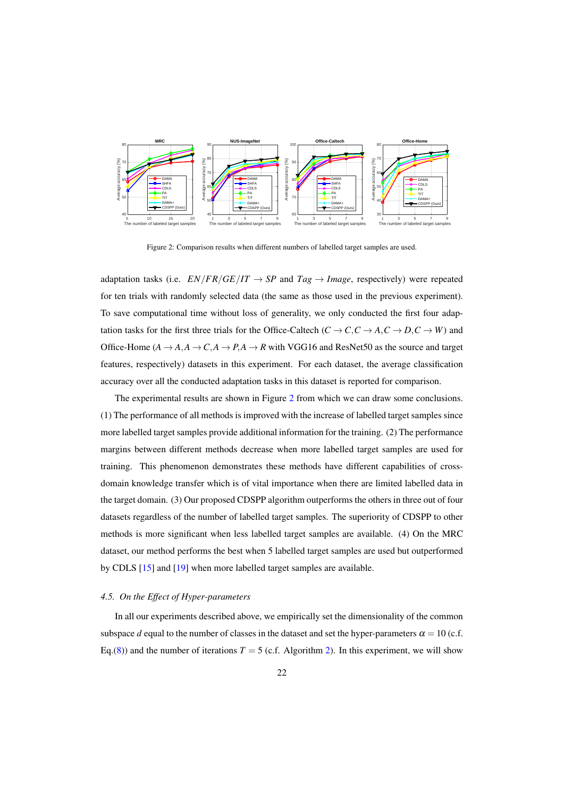<span id="page-21-0"></span>

Figure 2: Comparison results when different numbers of labelled target samples are used.

adaptation tasks (i.e.  $EN/FR/GE/IT \rightarrow SP$  and  $Tag \rightarrow Image$ , respectively) were repeated for ten trials with randomly selected data (the same as those used in the previous experiment). To save computational time without loss of generality, we only conducted the first four adaptation tasks for the first three trials for the Office-Caltech ( $C \rightarrow C, C \rightarrow A, C \rightarrow D, C \rightarrow W$ ) and Office-Home  $(A \rightarrow A, A \rightarrow C, A \rightarrow P, A \rightarrow R$  with VGG16 and ResNet50 as the source and target features, respectively) datasets in this experiment. For each dataset, the average classification accuracy over all the conducted adaptation tasks in this dataset is reported for comparison.

The experimental results are shown in Figure [2](#page-21-0) from which we can draw some conclusions. (1) The performance of all methods is improved with the increase of labelled target samples since more labelled target samples provide additional information for the training. (2) The performance margins between different methods decrease when more labelled target samples are used for training. This phenomenon demonstrates these methods have different capabilities of crossdomain knowledge transfer which is of vital importance when there are limited labelled data in the target domain. (3) Our proposed CDSPP algorithm outperforms the others in three out of four datasets regardless of the number of labelled target samples. The superiority of CDSPP to other methods is more significant when less labelled target samples are available. (4) On the MRC dataset, our method performs the best when 5 labelled target samples are used but outperformed by CDLS [\[15\]](#page-27-7) and [\[19\]](#page-27-3) when more labelled target samples are available.

# *4.5. On the Effect of Hyper-parameters*

In all our experiments described above, we empirically set the dimensionality of the common subspace *d* equal to the number of classes in the dataset and set the hyper-parameters  $\alpha = 10$  (c.f. Eq.[\(8\)](#page-8-2)) and the number of iterations  $T = 5$  (c.f. Algorithm [2\)](#page-11-0). In this experiment, we will show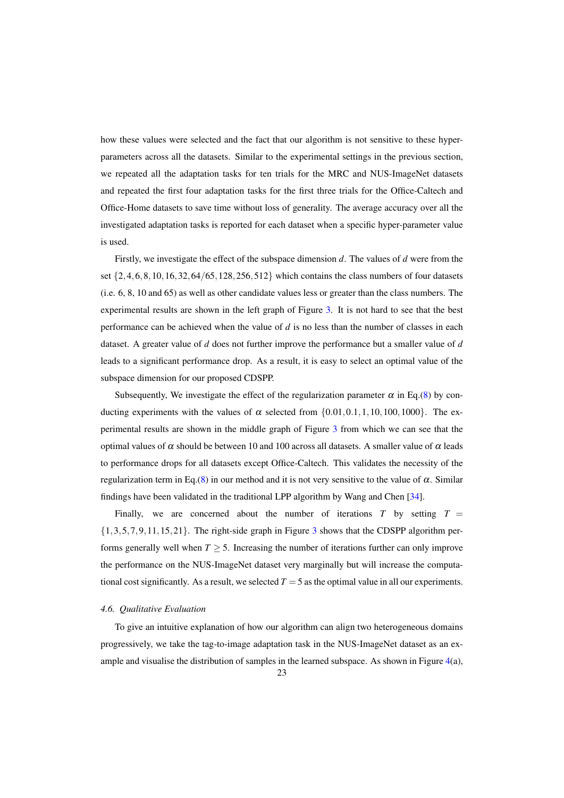how these values were selected and the fact that our algorithm is not sensitive to these hyperparameters across all the datasets. Similar to the experimental settings in the previous section, we repeated all the adaptation tasks for ten trials for the MRC and NUS-ImageNet datasets and repeated the first four adaptation tasks for the first three trials for the Office-Caltech and Office-Home datasets to save time without loss of generality. The average accuracy over all the investigated adaptation tasks is reported for each dataset when a specific hyper-parameter value is used.

Firstly, we investigate the effect of the subspace dimension *d*. The values of *d* were from the set  $\{2, 4, 6, 8, 10, 16, 32, 64/65, 128, 256, 512\}$  which contains the class numbers of four datasets (i.e. 6, 8, 10 and 65) as well as other candidate values less or greater than the class numbers. The experimental results are shown in the left graph of Figure [3.](#page-23-0) It is not hard to see that the best performance can be achieved when the value of *d* is no less than the number of classes in each dataset. A greater value of *d* does not further improve the performance but a smaller value of *d* leads to a significant performance drop. As a result, it is easy to select an optimal value of the subspace dimension for our proposed CDSPP.

Subsequently, We investigate the effect of the regularization parameter  $\alpha$  in Eq.[\(8\)](#page-8-2) by conducting experiments with the values of  $\alpha$  selected from {0.01,0.1,1,10,100,1000}. The experimental results are shown in the middle graph of Figure [3](#page-23-0) from which we can see that the optimal values of  $\alpha$  should be between 10 and 100 across all datasets. A smaller value of  $\alpha$  leads to performance drops for all datasets except Office-Caltech. This validates the necessity of the regularization term in Eq.[\(8\)](#page-8-2) in our method and it is not very sensitive to the value of  $\alpha$ . Similar findings have been validated in the traditional LPP algorithm by Wang and Chen [\[34\]](#page-28-11).

Finally, we are concerned about the number of iterations  $T$  by setting  $T =$  $\{1,3,5,7,9,11,15,21\}$  $\{1,3,5,7,9,11,15,21\}$  $\{1,3,5,7,9,11,15,21\}$ . The right-side graph in Figure 3 shows that the CDSPP algorithm performs generally well when  $T > 5$ . Increasing the number of iterations further can only improve the performance on the NUS-ImageNet dataset very marginally but will increase the computational cost significantly. As a result, we selected  $T = 5$  as the optimal value in all our experiments.

### *4.6. Qualitative Evaluation*

To give an intuitive explanation of how our algorithm can align two heterogeneous domains progressively, we take the tag-to-image adaptation task in the NUS-ImageNet dataset as an example and visualise the distribution of samples in the learned subspace. As shown in Figure  $4(a)$  $4(a)$ ,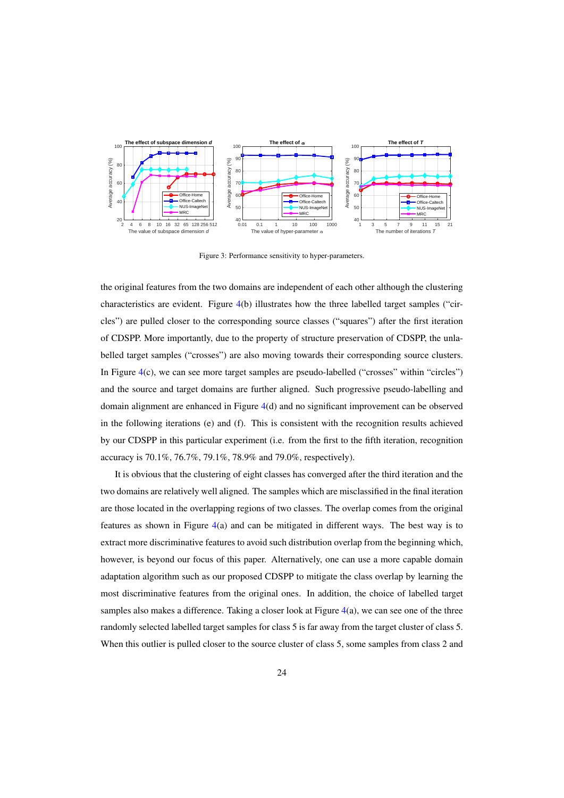<span id="page-23-0"></span>

Figure 3: Performance sensitivity to hyper-parameters.

the original features from the two domains are independent of each other although the clustering characteristics are evident. Figure [4\(](#page-24-0)b) illustrates how the three labelled target samples ("circles") are pulled closer to the corresponding source classes ("squares") after the first iteration of CDSPP. More importantly, due to the property of structure preservation of CDSPP, the unlabelled target samples ("crosses") are also moving towards their corresponding source clusters. In Figure [4\(](#page-24-0)c), we can see more target samples are pseudo-labelled ("crosses" within "circles") and the source and target domains are further aligned. Such progressive pseudo-labelling and domain alignment are enhanced in Figure [4\(](#page-24-0)d) and no significant improvement can be observed in the following iterations (e) and (f). This is consistent with the recognition results achieved by our CDSPP in this particular experiment (i.e. from the first to the fifth iteration, recognition accuracy is 70.1%, 76.7%, 79.1%, 78.9% and 79.0%, respectively).

It is obvious that the clustering of eight classes has converged after the third iteration and the two domains are relatively well aligned. The samples which are misclassified in the final iteration are those located in the overlapping regions of two classes. The overlap comes from the original features as shown in Figure  $4(a)$  $4(a)$  and can be mitigated in different ways. The best way is to extract more discriminative features to avoid such distribution overlap from the beginning which, however, is beyond our focus of this paper. Alternatively, one can use a more capable domain adaptation algorithm such as our proposed CDSPP to mitigate the class overlap by learning the most discriminative features from the original ones. In addition, the choice of labelled target samples also makes a difference. Taking a closer look at Figure [4\(](#page-24-0)a), we can see one of the three randomly selected labelled target samples for class 5 is far away from the target cluster of class 5. When this outlier is pulled closer to the source cluster of class 5, some samples from class 2 and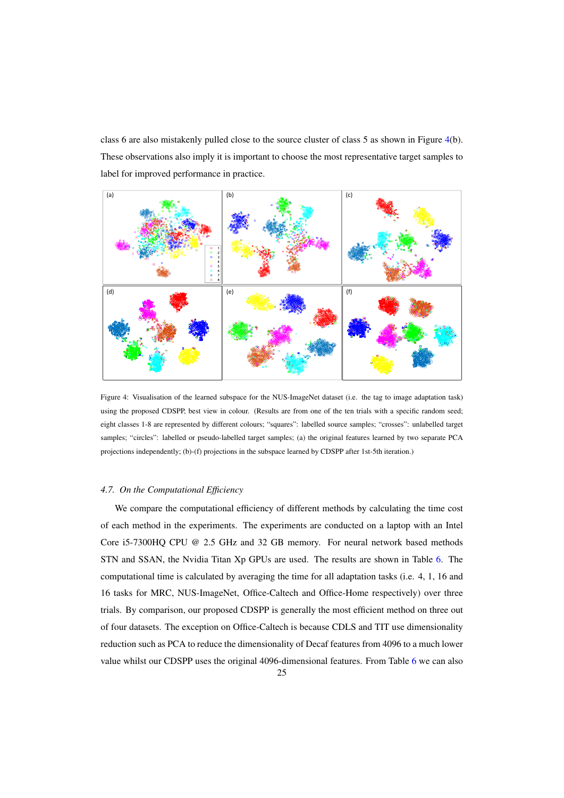class 6 are also mistakenly pulled close to the source cluster of class 5 as shown in Figure [4\(](#page-24-0)b). These observations also imply it is important to choose the most representative target samples to label for improved performance in practice.

<span id="page-24-0"></span>

Figure 4: Visualisation of the learned subspace for the NUS-ImageNet dataset (i.e. the tag to image adaptation task) using the proposed CDSPP, best view in colour. (Results are from one of the ten trials with a specific random seed; eight classes 1-8 are represented by different colours; "squares": labelled source samples; "crosses": unlabelled target samples; "circles": labelled or pseudo-labelled target samples; (a) the original features learned by two separate PCA projections independently; (b)-(f) projections in the subspace learned by CDSPP after 1st-5th iteration.)

### *4.7. On the Computational Efficiency*

We compare the computational efficiency of different methods by calculating the time cost of each method in the experiments. The experiments are conducted on a laptop with an Intel Core i5-7300HQ CPU @ 2.5 GHz and 32 GB memory. For neural network based methods STN and SSAN, the Nvidia Titan Xp GPUs are used. The results are shown in Table [6.](#page-25-0) The computational time is calculated by averaging the time for all adaptation tasks (i.e. 4, 1, 16 and 16 tasks for MRC, NUS-ImageNet, Office-Caltech and Office-Home respectively) over three trials. By comparison, our proposed CDSPP is generally the most efficient method on three out of four datasets. The exception on Office-Caltech is because CDLS and TIT use dimensionality reduction such as PCA to reduce the dimensionality of Decaf features from 4096 to a much lower value whilst our CDSPP uses the original 4096-dimensional features. From Table [6](#page-25-0) we can also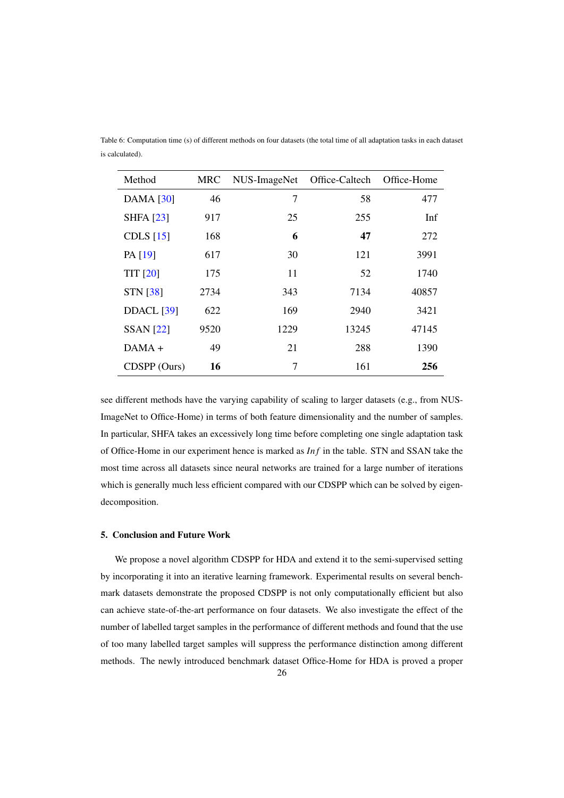| Table 6: Computation time (s) of different methods on four datasets (the total time of all adaptation tasks in each dataset |  |  |  |  |
|-----------------------------------------------------------------------------------------------------------------------------|--|--|--|--|
| is calculated).                                                                                                             |  |  |  |  |

<span id="page-25-0"></span>

| Method            | MRC  | NUS-ImageNet | Office-Caltech | Office-Home |
|-------------------|------|--------------|----------------|-------------|
| <b>DAMA</b> [30]  | 46   | 7            | 58             | 477         |
| <b>SHFA</b> [23]  | 917  | 25           | 255            | Inf         |
| CDLS $[15]$       | 168  | 6            | 47             | 272         |
| PA [19]           | 617  | 30           | 121            | 3991        |
| <b>TIT [20]</b>   | 175  | 11           | 52             | 1740        |
| <b>STN [38]</b>   | 2734 | 343          | 7134           | 40857       |
| <b>DDACL</b> [39] | 622  | 169          | 2940           | 3421        |
| <b>SSAN</b> [22]  | 9520 | 1229         | 13245          | 47145       |
| $DAMA +$          | 49   | 21           | 288            | 1390        |
| CDSPP (Ours)      | 16   | 7            | 161            | 256         |

see different methods have the varying capability of scaling to larger datasets (e.g., from NUS-ImageNet to Office-Home) in terms of both feature dimensionality and the number of samples. In particular, SHFA takes an excessively long time before completing one single adaptation task of Office-Home in our experiment hence is marked as *In f* in the table. STN and SSAN take the most time across all datasets since neural networks are trained for a large number of iterations which is generally much less efficient compared with our CDSPP which can be solved by eigendecomposition.

# 5. Conclusion and Future Work

We propose a novel algorithm CDSPP for HDA and extend it to the semi-supervised setting by incorporating it into an iterative learning framework. Experimental results on several benchmark datasets demonstrate the proposed CDSPP is not only computationally efficient but also can achieve state-of-the-art performance on four datasets. We also investigate the effect of the number of labelled target samples in the performance of different methods and found that the use of too many labelled target samples will suppress the performance distinction among different methods. The newly introduced benchmark dataset Office-Home for HDA is proved a proper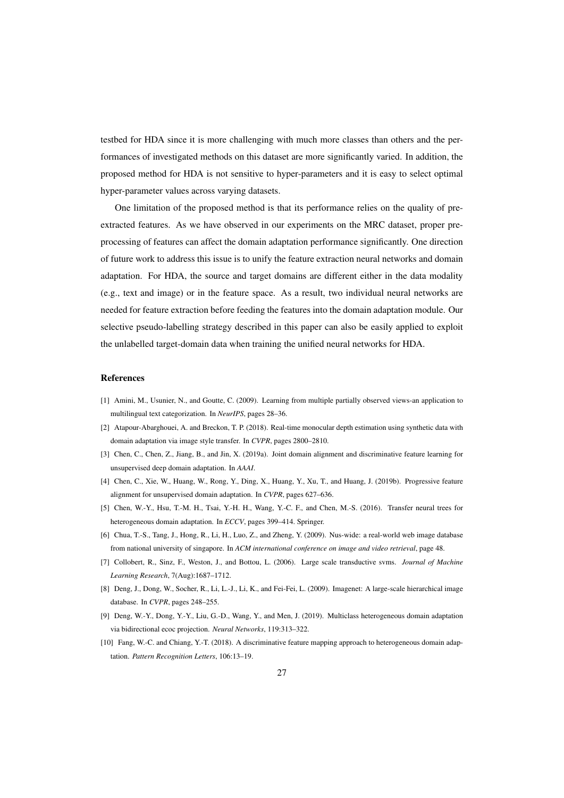testbed for HDA since it is more challenging with much more classes than others and the performances of investigated methods on this dataset are more significantly varied. In addition, the proposed method for HDA is not sensitive to hyper-parameters and it is easy to select optimal hyper-parameter values across varying datasets.

One limitation of the proposed method is that its performance relies on the quality of preextracted features. As we have observed in our experiments on the MRC dataset, proper preprocessing of features can affect the domain adaptation performance significantly. One direction of future work to address this issue is to unify the feature extraction neural networks and domain adaptation. For HDA, the source and target domains are different either in the data modality (e.g., text and image) or in the feature space. As a result, two individual neural networks are needed for feature extraction before feeding the features into the domain adaptation module. Our selective pseudo-labelling strategy described in this paper can also be easily applied to exploit the unlabelled target-domain data when training the unified neural networks for HDA.

# References

- <span id="page-26-6"></span>[1] Amini, M., Usunier, N., and Goutte, C. (2009). Learning from multiple partially observed views-an application to multilingual text categorization. In *NeurIPS*, pages 28–36.
- <span id="page-26-1"></span>[2] Atapour-Abarghouei, A. and Breckon, T. P. (2018). Real-time monocular depth estimation using synthetic data with domain adaptation via image style transfer. In *CVPR*, pages 2800–2810.
- <span id="page-26-2"></span>[3] Chen, C., Chen, Z., Jiang, B., and Jin, X. (2019a). Joint domain alignment and discriminative feature learning for unsupervised deep domain adaptation. In *AAAI*.
- <span id="page-26-3"></span>[4] Chen, C., Xie, W., Huang, W., Rong, Y., Ding, X., Huang, Y., Xu, T., and Huang, J. (2019b). Progressive feature alignment for unsupervised domain adaptation. In *CVPR*, pages 627–636.
- <span id="page-26-8"></span>[5] Chen, W.-Y., Hsu, T.-M. H., Tsai, Y.-H. H., Wang, Y.-C. F., and Chen, M.-S. (2016). Transfer neural trees for heterogeneous domain adaptation. In *ECCV*, pages 399–414. Springer.
- <span id="page-26-7"></span>[6] Chua, T.-S., Tang, J., Hong, R., Li, H., Luo, Z., and Zheng, Y. (2009). Nus-wide: a real-world web image database from national university of singapore. In *ACM international conference on image and video retrieval*, page 48.
- <span id="page-26-9"></span>[7] Collobert, R., Sinz, F., Weston, J., and Bottou, L. (2006). Large scale transductive svms. *Journal of Machine Learning Research*, 7(Aug):1687–1712.
- <span id="page-26-0"></span>[8] Deng, J., Dong, W., Socher, R., Li, L.-J., Li, K., and Fei-Fei, L. (2009). Imagenet: A large-scale hierarchical image database. In *CVPR*, pages 248–255.
- <span id="page-26-5"></span>[9] Deng, W.-Y., Dong, Y.-Y., Liu, G.-D., Wang, Y., and Men, J. (2019). Multiclass heterogeneous domain adaptation via bidirectional ecoc projection. *Neural Networks*, 119:313–322.
- <span id="page-26-4"></span>[10] Fang, W.-C. and Chiang, Y.-T. (2018). A discriminative feature mapping approach to heterogeneous domain adaptation. *Pattern Recognition Letters*, 106:13–19.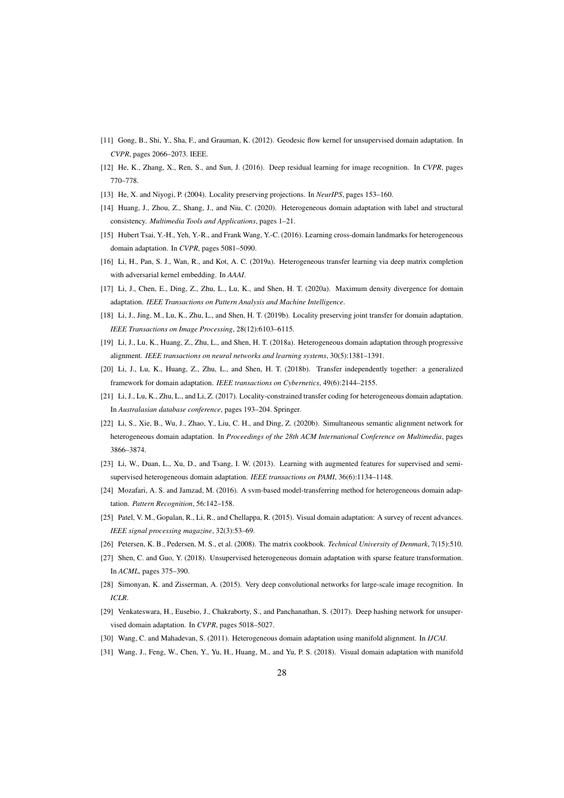- <span id="page-27-16"></span>[11] Gong, B., Shi, Y., Sha, F., and Grauman, K. (2012). Geodesic flow kernel for unsupervised domain adaptation. In *CVPR*, pages 2066–2073. IEEE.
- <span id="page-27-19"></span>[12] He, K., Zhang, X., Ren, S., and Sun, J. (2016). Deep residual learning for image recognition. In *CVPR*, pages 770–778.
- <span id="page-27-14"></span><span id="page-27-5"></span>[13] He, X. and Niyogi, P. (2004). Locality preserving projections. In *NeurIPS*, pages 153–160.
- [14] Huang, J., Zhou, Z., Shang, J., and Niu, C. (2020). Heterogeneous domain adaptation with label and structural consistency. *Multimedia Tools and Applications*, pages 1–21.
- <span id="page-27-7"></span>[15] Hubert Tsai, Y.-H., Yeh, Y.-R., and Frank Wang, Y.-C. (2016). Learning cross-domain landmarks for heterogeneous domain adaptation. In *CVPR*, pages 5081–5090.
- <span id="page-27-12"></span>[16] Li, H., Pan, S. J., Wan, R., and Kot, A. C. (2019a). Heterogeneous transfer learning via deep matrix completion with adversarial kernel embedding. In *AAAI*.
- <span id="page-27-6"></span>[17] Li, J., Chen, E., Ding, Z., Zhu, L., Lu, K., and Shen, H. T. (2020a). Maximum density divergence for domain adaptation. *IEEE Transactions on Pattern Analysis and Machine Intelligence*.
- <span id="page-27-4"></span>[18] Li, J., Jing, M., Lu, K., Zhu, L., and Shen, H. T. (2019b). Locality preserving joint transfer for domain adaptation. *IEEE Transactions on Image Processing*, 28(12):6103–6115.
- <span id="page-27-3"></span>[19] Li, J., Lu, K., Huang, Z., Zhu, L., and Shen, H. T. (2018a). Heterogeneous domain adaptation through progressive alignment. *IEEE transactions on neural networks and learning systems*, 30(5):1381–1391.
- <span id="page-27-10"></span>[20] Li, J., Lu, K., Huang, Z., Zhu, L., and Shen, H. T. (2018b). Transfer independently together: a generalized framework for domain adaptation. *IEEE transactions on Cybernetics*, 49(6):2144–2155.
- <span id="page-27-11"></span>[21] Li, J., Lu, K., Zhu, L., and Li, Z. (2017). Locality-constrained transfer coding for heterogeneous domain adaptation. In *Australasian database conference*, pages 193–204. Springer.
- <span id="page-27-20"></span>[22] Li, S., Xie, B., Wu, J., Zhao, Y., Liu, C. H., and Ding, Z. (2020b). Simultaneous semantic alignment network for heterogeneous domain adaptation. In *Proceedings of the 28th ACM International Conference on Multimedia*, pages 3866–3874.
- <span id="page-27-13"></span>[23] Li, W., Duan, L., Xu, D., and Tsang, I. W. (2013). Learning with augmented features for supervised and semisupervised heterogeneous domain adaptation. *IEEE transactions on PAMI*, 36(6):1134–1148.
- <span id="page-27-9"></span>[24] Mozafari, A. S. and Jamzad, M. (2016). A svm-based model-transferring method for heterogeneous domain adaptation. *Pattern Recognition*, 56:142–158.
- <span id="page-27-0"></span>[25] Patel, V. M., Gopalan, R., Li, R., and Chellappa, R. (2015). Visual domain adaptation: A survey of recent advances. *IEEE signal processing magazine*, 32(3):53–69.
- <span id="page-27-15"></span><span id="page-27-8"></span>[26] Petersen, K. B., Pedersen, M. S., et al. (2008). The matrix cookbook. *Technical University of Denmark*, 7(15):510.
- [27] Shen, C. and Guo, Y. (2018). Unsupervised heterogeneous domain adaptation with sparse feature transformation. In *ACML*, pages 375–390.
- <span id="page-27-18"></span>[28] Simonyan, K. and Zisserman, A. (2015). Very deep convolutional networks for large-scale image recognition. In *ICLR*.
- <span id="page-27-17"></span>[29] Venkateswara, H., Eusebio, J., Chakraborty, S., and Panchanathan, S. (2017). Deep hashing network for unsupervised domain adaptation. In *CVPR*, pages 5018–5027.
- <span id="page-27-2"></span><span id="page-27-1"></span>[30] Wang, C. and Mahadevan, S. (2011). Heterogeneous domain adaptation using manifold alignment. In *IJCAI*.
- [31] Wang, J., Feng, W., Chen, Y., Yu, H., Huang, M., and Yu, P. S. (2018). Visual domain adaptation with manifold